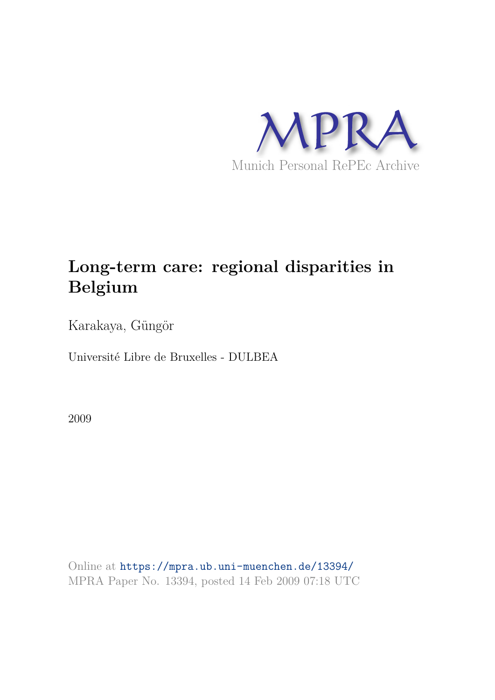

# **Long-term care: regional disparities in Belgium**

Karakaya, Güngör

Université Libre de Bruxelles - DULBEA

2009

Online at https://mpra.ub.uni-muenchen.de/13394/ MPRA Paper No. 13394, posted 14 Feb 2009 07:18 UTC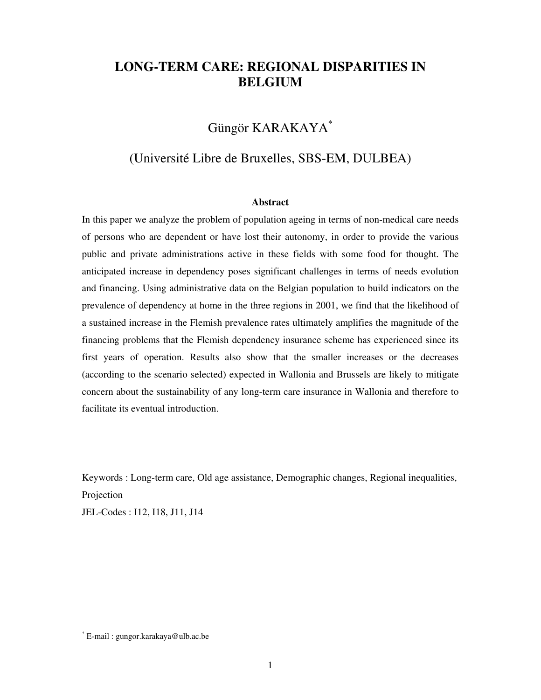## **LONG-TERM CARE: REGIONAL DISPARITIES IN BELGIUM**

## Güngör KARAKAYA\*

## (Université Libre de Bruxelles, SBS-EM, DULBEA)

#### **Abstract**

In this paper we analyze the problem of population ageing in terms of non-medical care needs of persons who are dependent or have lost their autonomy, in order to provide the various public and private administrations active in these fields with some food for thought. The anticipated increase in dependency poses significant challenges in terms of needs evolution and financing. Using administrative data on the Belgian population to build indicators on the prevalence of dependency at home in the three regions in 2001, we find that the likelihood of a sustained increase in the Flemish prevalence rates ultimately amplifies the magnitude of the financing problems that the Flemish dependency insurance scheme has experienced since its first years of operation. Results also show that the smaller increases or the decreases (according to the scenario selected) expected in Wallonia and Brussels are likely to mitigate concern about the sustainability of any long-term care insurance in Wallonia and therefore to facilitate its eventual introduction.

Keywords : Long-term care, Old age assistance, Demographic changes, Regional inequalities, Projection

JEL-Codes : I12, I18, J11, J14

 $\overline{a}$ 

<sup>\*</sup> E-mail : gungor.karakaya@ulb.ac.be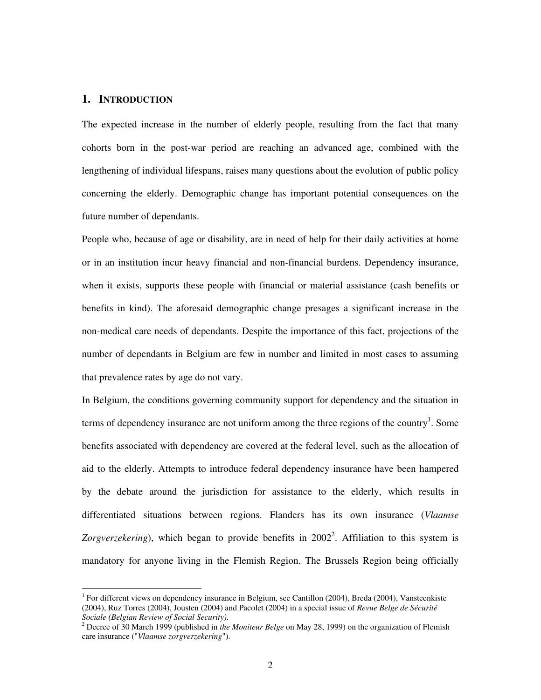## **1. INTRODUCTION**

 $\overline{a}$ 

The expected increase in the number of elderly people, resulting from the fact that many cohorts born in the post-war period are reaching an advanced age, combined with the lengthening of individual lifespans, raises many questions about the evolution of public policy concerning the elderly. Demographic change has important potential consequences on the future number of dependants.

People who, because of age or disability, are in need of help for their daily activities at home or in an institution incur heavy financial and non-financial burdens. Dependency insurance, when it exists, supports these people with financial or material assistance (cash benefits or benefits in kind). The aforesaid demographic change presages a significant increase in the non-medical care needs of dependants. Despite the importance of this fact, projections of the number of dependants in Belgium are few in number and limited in most cases to assuming that prevalence rates by age do not vary.

In Belgium, the conditions governing community support for dependency and the situation in terms of dependency insurance are not uniform among the three regions of the country<sup>1</sup>. Some benefits associated with dependency are covered at the federal level, such as the allocation of aid to the elderly. Attempts to introduce federal dependency insurance have been hampered by the debate around the jurisdiction for assistance to the elderly, which results in differentiated situations between regions. Flanders has its own insurance (*Vlaamse*  Zorgverzekering), which began to provide benefits in 2002<sup>2</sup>. Affiliation to this system is mandatory for anyone living in the Flemish Region. The Brussels Region being officially

<sup>&</sup>lt;sup>1</sup> For different views on dependency insurance in Belgium, see Cantillon (2004), Breda (2004), Vansteenkiste (2004), Ruz Torres (2004), Jousten (2004) and Pacolet (2004) in a special issue of *Revue Belge de Sécurité Sociale (Belgian Review of Social Security)*.

<sup>2</sup> Decree of 30 March 1999 (published in *the Moniteur Belge* on May 28, 1999) on the organization of Flemish care insurance ("*Vlaamse zorgverzekering*").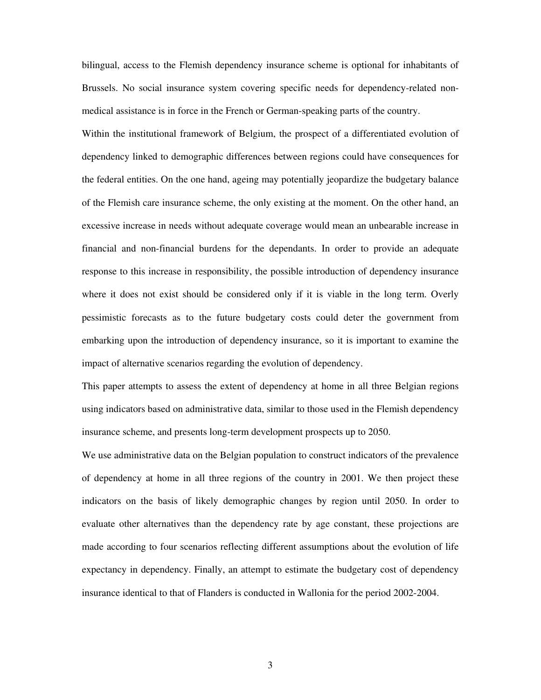bilingual, access to the Flemish dependency insurance scheme is optional for inhabitants of Brussels. No social insurance system covering specific needs for dependency-related nonmedical assistance is in force in the French or German-speaking parts of the country.

Within the institutional framework of Belgium, the prospect of a differentiated evolution of dependency linked to demographic differences between regions could have consequences for the federal entities. On the one hand, ageing may potentially jeopardize the budgetary balance of the Flemish care insurance scheme, the only existing at the moment. On the other hand, an excessive increase in needs without adequate coverage would mean an unbearable increase in financial and non-financial burdens for the dependants. In order to provide an adequate response to this increase in responsibility, the possible introduction of dependency insurance where it does not exist should be considered only if it is viable in the long term. Overly pessimistic forecasts as to the future budgetary costs could deter the government from embarking upon the introduction of dependency insurance, so it is important to examine the impact of alternative scenarios regarding the evolution of dependency.

This paper attempts to assess the extent of dependency at home in all three Belgian regions using indicators based on administrative data, similar to those used in the Flemish dependency insurance scheme, and presents long-term development prospects up to 2050.

We use administrative data on the Belgian population to construct indicators of the prevalence of dependency at home in all three regions of the country in 2001. We then project these indicators on the basis of likely demographic changes by region until 2050. In order to evaluate other alternatives than the dependency rate by age constant, these projections are made according to four scenarios reflecting different assumptions about the evolution of life expectancy in dependency. Finally, an attempt to estimate the budgetary cost of dependency insurance identical to that of Flanders is conducted in Wallonia for the period 2002-2004.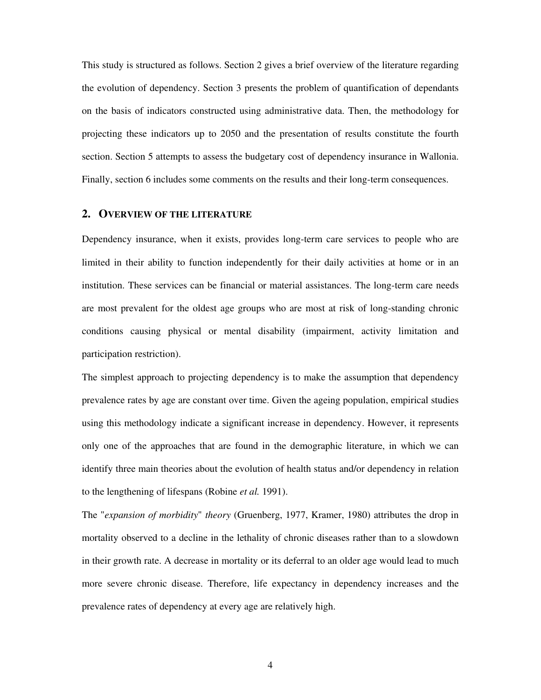This study is structured as follows. Section 2 gives a brief overview of the literature regarding the evolution of dependency. Section 3 presents the problem of quantification of dependants on the basis of indicators constructed using administrative data. Then, the methodology for projecting these indicators up to 2050 and the presentation of results constitute the fourth section. Section 5 attempts to assess the budgetary cost of dependency insurance in Wallonia. Finally, section 6 includes some comments on the results and their long-term consequences.

#### **2. OVERVIEW OF THE LITERATURE**

Dependency insurance, when it exists, provides long-term care services to people who are limited in their ability to function independently for their daily activities at home or in an institution. These services can be financial or material assistances. The long-term care needs are most prevalent for the oldest age groups who are most at risk of long-standing chronic conditions causing physical or mental disability (impairment, activity limitation and participation restriction).

The simplest approach to projecting dependency is to make the assumption that dependency prevalence rates by age are constant over time. Given the ageing population, empirical studies using this methodology indicate a significant increase in dependency. However, it represents only one of the approaches that are found in the demographic literature, in which we can identify three main theories about the evolution of health status and/or dependency in relation to the lengthening of lifespans (Robine *et al.* 1991).

The "*expansion of morbidity*" *theory* (Gruenberg, 1977, Kramer, 1980) attributes the drop in mortality observed to a decline in the lethality of chronic diseases rather than to a slowdown in their growth rate. A decrease in mortality or its deferral to an older age would lead to much more severe chronic disease. Therefore, life expectancy in dependency increases and the prevalence rates of dependency at every age are relatively high.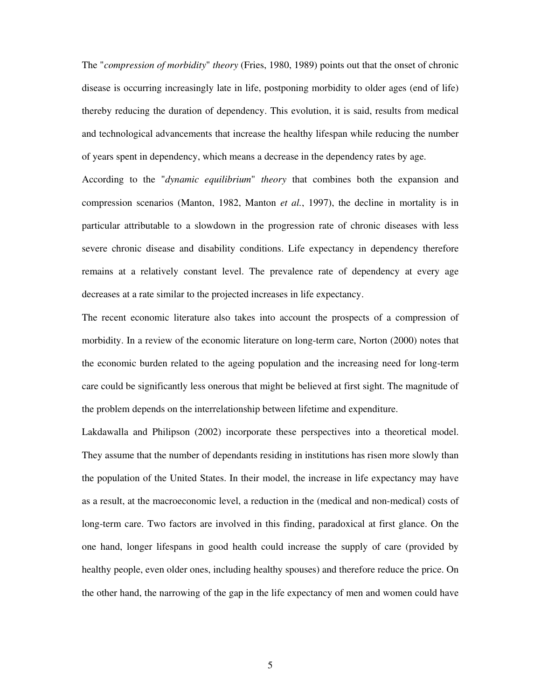The "*compression of morbidity*" *theory* (Fries, 1980, 1989) points out that the onset of chronic disease is occurring increasingly late in life, postponing morbidity to older ages (end of life) thereby reducing the duration of dependency. This evolution, it is said, results from medical and technological advancements that increase the healthy lifespan while reducing the number of years spent in dependency, which means a decrease in the dependency rates by age.

According to the "*dynamic equilibrium*" *theory* that combines both the expansion and compression scenarios (Manton, 1982, Manton *et al.*, 1997), the decline in mortality is in particular attributable to a slowdown in the progression rate of chronic diseases with less severe chronic disease and disability conditions. Life expectancy in dependency therefore remains at a relatively constant level. The prevalence rate of dependency at every age decreases at a rate similar to the projected increases in life expectancy.

The recent economic literature also takes into account the prospects of a compression of morbidity. In a review of the economic literature on long-term care, Norton (2000) notes that the economic burden related to the ageing population and the increasing need for long-term care could be significantly less onerous that might be believed at first sight. The magnitude of the problem depends on the interrelationship between lifetime and expenditure.

Lakdawalla and Philipson (2002) incorporate these perspectives into a theoretical model. They assume that the number of dependants residing in institutions has risen more slowly than the population of the United States. In their model, the increase in life expectancy may have as a result, at the macroeconomic level, a reduction in the (medical and non-medical) costs of long-term care. Two factors are involved in this finding, paradoxical at first glance. On the one hand, longer lifespans in good health could increase the supply of care (provided by healthy people, even older ones, including healthy spouses) and therefore reduce the price. On the other hand, the narrowing of the gap in the life expectancy of men and women could have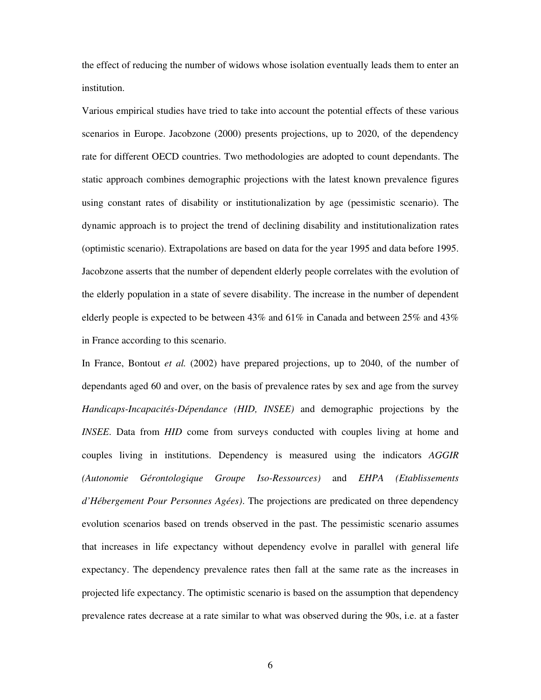the effect of reducing the number of widows whose isolation eventually leads them to enter an institution.

Various empirical studies have tried to take into account the potential effects of these various scenarios in Europe. Jacobzone (2000) presents projections, up to 2020, of the dependency rate for different OECD countries. Two methodologies are adopted to count dependants. The static approach combines demographic projections with the latest known prevalence figures using constant rates of disability or institutionalization by age (pessimistic scenario). The dynamic approach is to project the trend of declining disability and institutionalization rates (optimistic scenario). Extrapolations are based on data for the year 1995 and data before 1995. Jacobzone asserts that the number of dependent elderly people correlates with the evolution of the elderly population in a state of severe disability. The increase in the number of dependent elderly people is expected to be between  $43\%$  and  $61\%$  in Canada and between  $25\%$  and  $43\%$ in France according to this scenario.

In France, Bontout *et al.* (2002) have prepared projections, up to 2040, of the number of dependants aged 60 and over, on the basis of prevalence rates by sex and age from the survey *Handicaps-Incapacités-Dépendance (HID, INSEE)* and demographic projections by the *INSEE*. Data from *HID* come from surveys conducted with couples living at home and couples living in institutions. Dependency is measured using the indicators *AGGIR (Autonomie Gérontologique Groupe Iso-Ressources)* and *EHPA (Etablissements d'Hébergement Pour Personnes Agées)*. The projections are predicated on three dependency evolution scenarios based on trends observed in the past. The pessimistic scenario assumes that increases in life expectancy without dependency evolve in parallel with general life expectancy. The dependency prevalence rates then fall at the same rate as the increases in projected life expectancy. The optimistic scenario is based on the assumption that dependency prevalence rates decrease at a rate similar to what was observed during the 90s, i.e. at a faster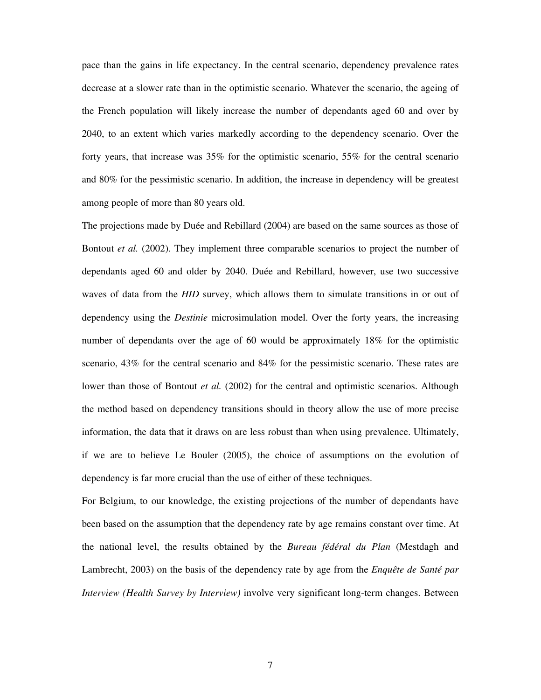pace than the gains in life expectancy. In the central scenario, dependency prevalence rates decrease at a slower rate than in the optimistic scenario. Whatever the scenario, the ageing of the French population will likely increase the number of dependants aged 60 and over by 2040, to an extent which varies markedly according to the dependency scenario. Over the forty years, that increase was 35% for the optimistic scenario, 55% for the central scenario and 80% for the pessimistic scenario. In addition, the increase in dependency will be greatest among people of more than 80 years old.

The projections made by Duée and Rebillard (2004) are based on the same sources as those of Bontout *et al.* (2002). They implement three comparable scenarios to project the number of dependants aged 60 and older by 2040. Duée and Rebillard, however, use two successive waves of data from the *HID* survey, which allows them to simulate transitions in or out of dependency using the *Destinie* microsimulation model. Over the forty years, the increasing number of dependants over the age of 60 would be approximately 18% for the optimistic scenario, 43% for the central scenario and 84% for the pessimistic scenario. These rates are lower than those of Bontout *et al.* (2002) for the central and optimistic scenarios. Although the method based on dependency transitions should in theory allow the use of more precise information, the data that it draws on are less robust than when using prevalence. Ultimately, if we are to believe Le Bouler (2005), the choice of assumptions on the evolution of dependency is far more crucial than the use of either of these techniques.

For Belgium, to our knowledge, the existing projections of the number of dependants have been based on the assumption that the dependency rate by age remains constant over time. At the national level, the results obtained by the *Bureau fédéral du Plan* (Mestdagh and Lambrecht, 2003) on the basis of the dependency rate by age from the *Enquête de Santé par Interview (Health Survey by Interview)* involve very significant long-term changes. Between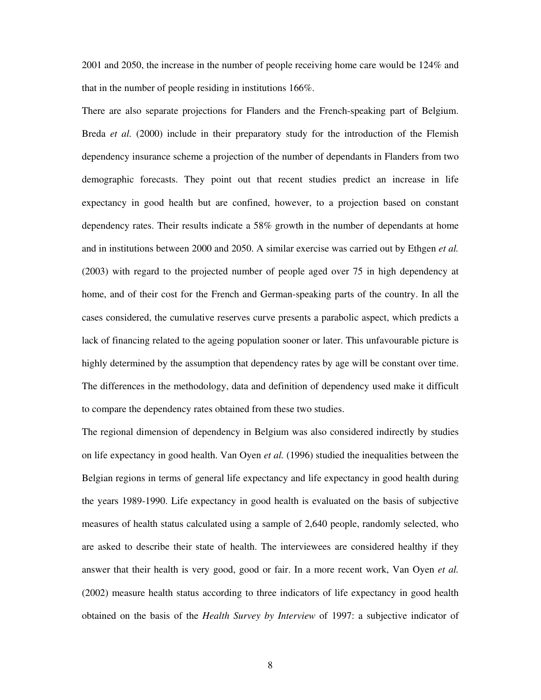2001 and 2050, the increase in the number of people receiving home care would be 124% and that in the number of people residing in institutions 166%.

There are also separate projections for Flanders and the French-speaking part of Belgium. Breda *et al.* (2000) include in their preparatory study for the introduction of the Flemish dependency insurance scheme a projection of the number of dependants in Flanders from two demographic forecasts. They point out that recent studies predict an increase in life expectancy in good health but are confined, however, to a projection based on constant dependency rates. Their results indicate a 58% growth in the number of dependants at home and in institutions between 2000 and 2050. A similar exercise was carried out by Ethgen *et al.* (2003) with regard to the projected number of people aged over 75 in high dependency at home, and of their cost for the French and German-speaking parts of the country. In all the cases considered, the cumulative reserves curve presents a parabolic aspect, which predicts a lack of financing related to the ageing population sooner or later. This unfavourable picture is highly determined by the assumption that dependency rates by age will be constant over time. The differences in the methodology, data and definition of dependency used make it difficult to compare the dependency rates obtained from these two studies.

The regional dimension of dependency in Belgium was also considered indirectly by studies on life expectancy in good health. Van Oyen *et al.* (1996) studied the inequalities between the Belgian regions in terms of general life expectancy and life expectancy in good health during the years 1989-1990. Life expectancy in good health is evaluated on the basis of subjective measures of health status calculated using a sample of 2,640 people, randomly selected, who are asked to describe their state of health. The interviewees are considered healthy if they answer that their health is very good, good or fair. In a more recent work, Van Oyen *et al.* (2002) measure health status according to three indicators of life expectancy in good health obtained on the basis of the *Health Survey by Interview* of 1997: a subjective indicator of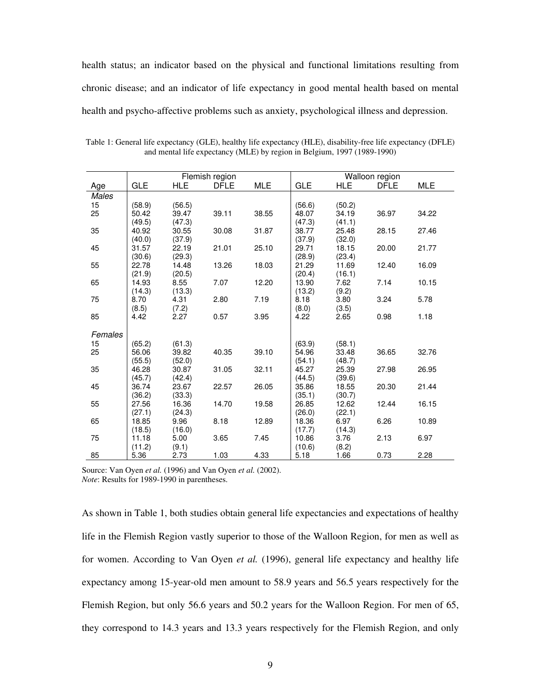health status; an indicator based on the physical and functional limitations resulting from chronic disease; and an indicator of life expectancy in good mental health based on mental health and psycho-affective problems such as anxiety, psychological illness and depression.

|         |                 |                 | Flemish region |            | Walloon region |            |             |            |
|---------|-----------------|-----------------|----------------|------------|----------------|------------|-------------|------------|
| Age     | GLE             | <b>HLE</b>      | <b>DFLE</b>    | <b>MLE</b> | <b>GLE</b>     | <b>HLE</b> | <b>DFLE</b> | <b>MLE</b> |
| Males   |                 |                 |                |            |                |            |             |            |
| 15      | (58.9)          | (56.5)          |                |            | (56.6)         | (50.2)     |             |            |
| 25      | 50.42           | 39.47           | 39.11          | 38.55      | 48.07          | 34.19      | 36.97       | 34.22      |
|         | (49.5)          | (47.3)          |                |            | (47.3)         | (41.1)     |             |            |
| 35      | 40.92           | 30.55           | 30.08          | 31.87      | 38.77          | 25.48      | 28.15       | 27.46      |
|         | (40.0)          | (37.9)          |                |            | (37.9)         | (32.0)     |             |            |
| 45      | 31.57           | 22.19           | 21.01          | 25.10      | 29.71          | 18.15      | 20.00       | 21.77      |
|         | (30.6)          | (29.3)          |                |            | (28.9)         | (23.4)     |             |            |
| 55      | 22.78           | 14.48           | 13.26          | 18.03      | 21.29          | 11.69      | 12.40       | 16.09      |
|         | (21.9)          | (20.5)          |                |            | (20.4)         | (16.1)     |             |            |
| 65      | 14.93           | 8.55            | 7.07           | 12.20      | 13.90          | 7.62       | 7.14        | 10.15      |
|         | (14.3)          | (13.3)          |                |            | (13.2)         | (9.2)      |             |            |
| 75      | 8.70            | 4.31            | 2.80           | 7.19       | 8.18           | 3.80       | 3.24        | 5.78       |
|         | (8.5)           | (7.2)           |                |            | (8.0)          | (3.5)      |             |            |
| 85      | 4.42            | 2.27            | 0.57           | 3.95       | 4.22           | 2.65       | 0.98        | 1.18       |
| Females |                 |                 |                |            |                |            |             |            |
| 15      |                 |                 |                |            | (63.9)         | (58.1)     |             |            |
| 25      | (65.2)<br>56.06 | (61.3)<br>39.82 | 40.35          | 39.10      | 54.96          | 33.48      | 36.65       | 32.76      |
|         | (55.5)          | (52.0)          |                |            | (54.1)         | (48.7)     |             |            |
| 35      | 46.28           | 30.87           | 31.05          | 32.11      | 45.27          | 25.39      | 27.98       | 26.95      |
|         | (45.7)          | (42.4)          |                |            | (44.5)         | (39.6)     |             |            |
| 45      | 36.74           | 23.67           | 22.57          | 26.05      | 35.86          | 18.55      | 20.30       | 21.44      |
|         | (36.2)          | (33.3)          |                |            | (35.1)         | (30.7)     |             |            |
| 55      | 27.56           | 16.36           | 14.70          | 19.58      | 26.85          | 12.62      | 12.44       | 16.15      |
|         | (27.1)          | (24.3)          |                |            | (26.0)         | (22.1)     |             |            |
| 65      | 18.85           | 9.96            | 8.18           | 12.89      | 18.36          | 6.97       | 6.26        | 10.89      |
|         | (18.5)          | (16.0)          |                |            | (17.7)         | (14.3)     |             |            |
| 75      | 11.18           | 5.00            | 3.65           | 7.45       | 10.86          | 3.76       | 2.13        | 6.97       |
|         | (11.2)          | (9.1)           |                |            | (10.6)         | (8.2)      |             |            |
| 85      | 5.36            | 2.73            | 1.03           | 4.33       | 5.18           | 1.66       | 0.73        | 2.28       |

Table 1: General life expectancy (GLE), healthy life expectancy (HLE), disability-free life expectancy (DFLE) and mental life expectancy (MLE) by region in Belgium, 1997 (1989-1990)

Source: Van Oyen *et al.* (1996) and Van Oyen *et al.* (2002).

*Note*: Results for 1989-1990 in parentheses.

As shown in Table 1, both studies obtain general life expectancies and expectations of healthy life in the Flemish Region vastly superior to those of the Walloon Region, for men as well as for women. According to Van Oyen *et al.* (1996), general life expectancy and healthy life expectancy among 15-year-old men amount to 58.9 years and 56.5 years respectively for the Flemish Region, but only 56.6 years and 50.2 years for the Walloon Region. For men of 65, they correspond to 14.3 years and 13.3 years respectively for the Flemish Region, and only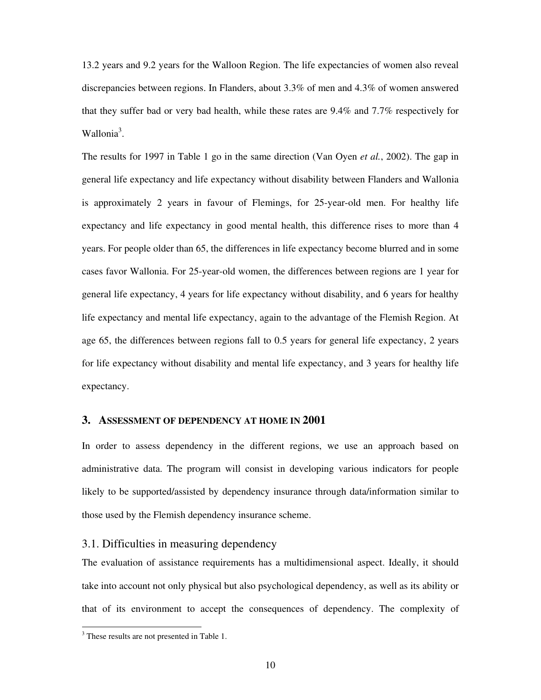13.2 years and 9.2 years for the Walloon Region. The life expectancies of women also reveal discrepancies between regions. In Flanders, about 3.3% of men and 4.3% of women answered that they suffer bad or very bad health, while these rates are 9.4% and 7.7% respectively for Wallonia<sup>3</sup>.

The results for 1997 in Table 1 go in the same direction (Van Oyen *et al.*, 2002). The gap in general life expectancy and life expectancy without disability between Flanders and Wallonia is approximately 2 years in favour of Flemings, for 25-year-old men. For healthy life expectancy and life expectancy in good mental health, this difference rises to more than 4 years. For people older than 65, the differences in life expectancy become blurred and in some cases favor Wallonia. For 25-year-old women, the differences between regions are 1 year for general life expectancy, 4 years for life expectancy without disability, and 6 years for healthy life expectancy and mental life expectancy, again to the advantage of the Flemish Region. At age 65, the differences between regions fall to 0.5 years for general life expectancy, 2 years for life expectancy without disability and mental life expectancy, and 3 years for healthy life expectancy.

#### **3. ASSESSMENT OF DEPENDENCY AT HOME IN 2001**

In order to assess dependency in the different regions, we use an approach based on administrative data. The program will consist in developing various indicators for people likely to be supported/assisted by dependency insurance through data/information similar to those used by the Flemish dependency insurance scheme.

#### 3.1. Difficulties in measuring dependency

The evaluation of assistance requirements has a multidimensional aspect. Ideally, it should take into account not only physical but also psychological dependency, as well as its ability or that of its environment to accept the consequences of dependency. The complexity of

 $\overline{a}$ 

<sup>&</sup>lt;sup>3</sup> These results are not presented in Table 1.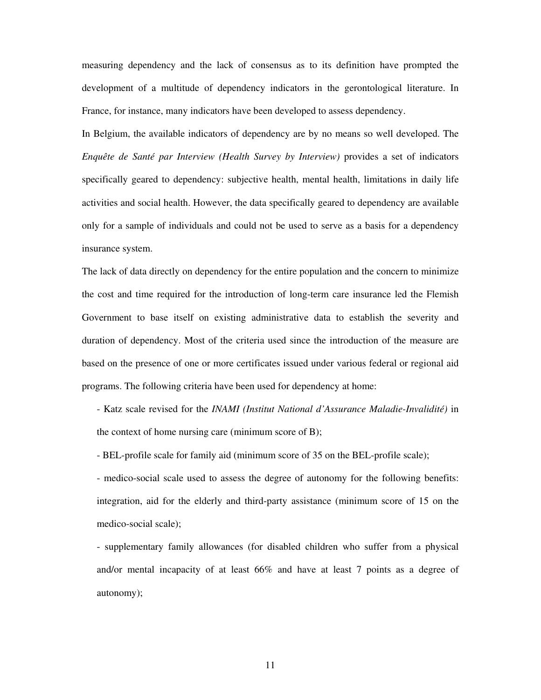measuring dependency and the lack of consensus as to its definition have prompted the development of a multitude of dependency indicators in the gerontological literature. In France, for instance, many indicators have been developed to assess dependency.

In Belgium, the available indicators of dependency are by no means so well developed. The *Enquête de Santé par Interview (Health Survey by Interview)* provides a set of indicators specifically geared to dependency: subjective health, mental health, limitations in daily life activities and social health. However, the data specifically geared to dependency are available only for a sample of individuals and could not be used to serve as a basis for a dependency insurance system.

The lack of data directly on dependency for the entire population and the concern to minimize the cost and time required for the introduction of long-term care insurance led the Flemish Government to base itself on existing administrative data to establish the severity and duration of dependency. Most of the criteria used since the introduction of the measure are based on the presence of one or more certificates issued under various federal or regional aid programs. The following criteria have been used for dependency at home:

- Katz scale revised for the *INAMI (Institut National d'Assurance Maladie-Invalidité)* in the context of home nursing care (minimum score of B);

- BEL-profile scale for family aid (minimum score of 35 on the BEL-profile scale);

- medico-social scale used to assess the degree of autonomy for the following benefits: integration, aid for the elderly and third-party assistance (minimum score of 15 on the medico-social scale);

- supplementary family allowances (for disabled children who suffer from a physical and/or mental incapacity of at least 66% and have at least 7 points as a degree of autonomy);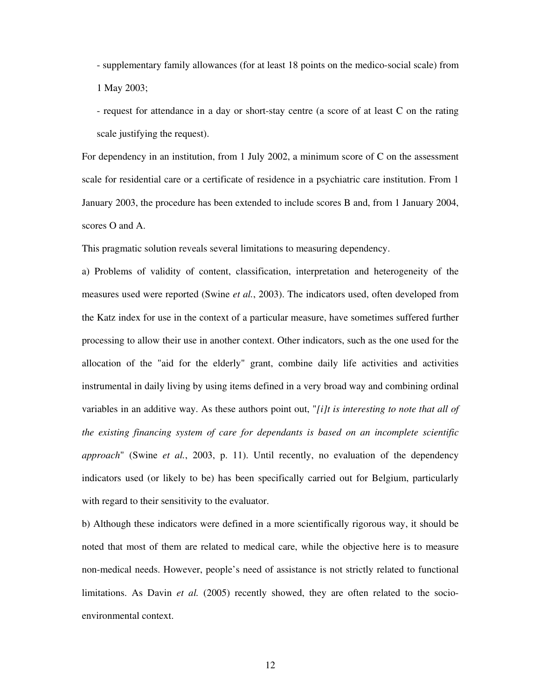- supplementary family allowances (for at least 18 points on the medico-social scale) from 1 May 2003;

- request for attendance in a day or short-stay centre (a score of at least C on the rating scale justifying the request).

For dependency in an institution, from 1 July 2002, a minimum score of C on the assessment scale for residential care or a certificate of residence in a psychiatric care institution. From 1 January 2003, the procedure has been extended to include scores B and, from 1 January 2004, scores O and A.

This pragmatic solution reveals several limitations to measuring dependency.

a) Problems of validity of content, classification, interpretation and heterogeneity of the measures used were reported (Swine *et al.*, 2003). The indicators used, often developed from the Katz index for use in the context of a particular measure, have sometimes suffered further processing to allow their use in another context. Other indicators, such as the one used for the allocation of the "aid for the elderly" grant, combine daily life activities and activities instrumental in daily living by using items defined in a very broad way and combining ordinal variables in an additive way. As these authors point out, "*[i]t is interesting to note that all of the existing financing system of care for dependants is based on an incomplete scientific approach*" (Swine *et al.*, 2003, p. 11). Until recently, no evaluation of the dependency indicators used (or likely to be) has been specifically carried out for Belgium, particularly with regard to their sensitivity to the evaluator.

b) Although these indicators were defined in a more scientifically rigorous way, it should be noted that most of them are related to medical care, while the objective here is to measure non-medical needs. However, people's need of assistance is not strictly related to functional limitations. As Davin *et al.* (2005) recently showed, they are often related to the socioenvironmental context.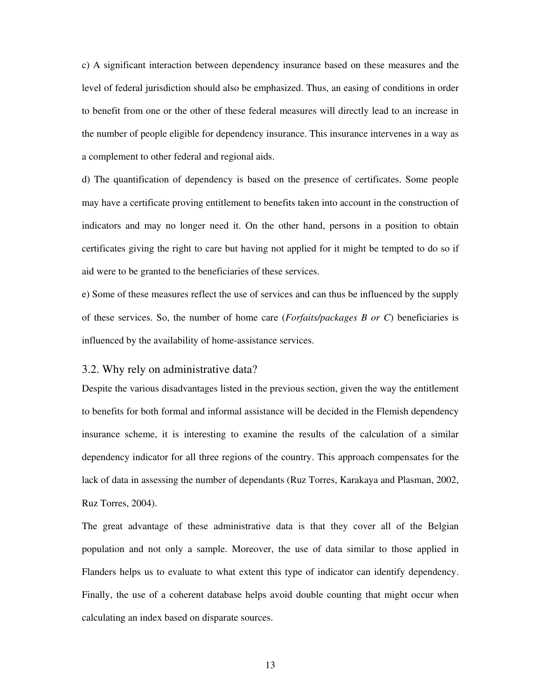c) A significant interaction between dependency insurance based on these measures and the level of federal jurisdiction should also be emphasized. Thus, an easing of conditions in order to benefit from one or the other of these federal measures will directly lead to an increase in the number of people eligible for dependency insurance. This insurance intervenes in a way as a complement to other federal and regional aids.

d) The quantification of dependency is based on the presence of certificates. Some people may have a certificate proving entitlement to benefits taken into account in the construction of indicators and may no longer need it. On the other hand, persons in a position to obtain certificates giving the right to care but having not applied for it might be tempted to do so if aid were to be granted to the beneficiaries of these services.

e) Some of these measures reflect the use of services and can thus be influenced by the supply of these services. So, the number of home care (*Forfaits/packages B or C*) beneficiaries is influenced by the availability of home-assistance services.

#### 3.2. Why rely on administrative data?

Despite the various disadvantages listed in the previous section, given the way the entitlement to benefits for both formal and informal assistance will be decided in the Flemish dependency insurance scheme, it is interesting to examine the results of the calculation of a similar dependency indicator for all three regions of the country. This approach compensates for the lack of data in assessing the number of dependants (Ruz Torres, Karakaya and Plasman, 2002, Ruz Torres, 2004).

The great advantage of these administrative data is that they cover all of the Belgian population and not only a sample. Moreover, the use of data similar to those applied in Flanders helps us to evaluate to what extent this type of indicator can identify dependency. Finally, the use of a coherent database helps avoid double counting that might occur when calculating an index based on disparate sources.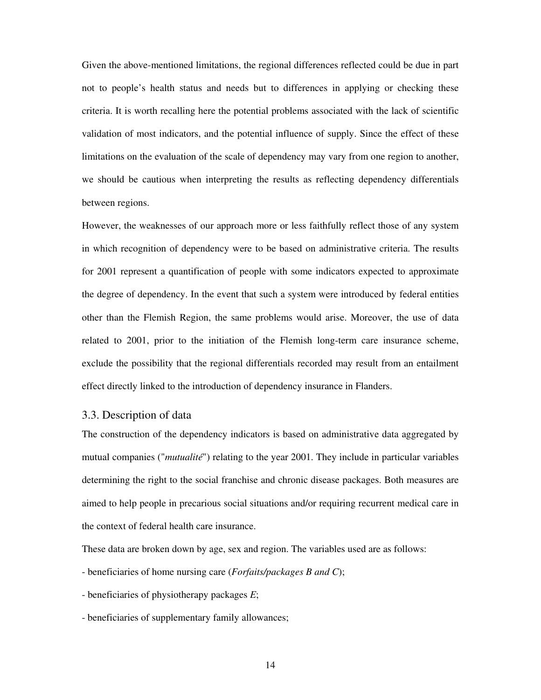Given the above-mentioned limitations, the regional differences reflected could be due in part not to people's health status and needs but to differences in applying or checking these criteria. It is worth recalling here the potential problems associated with the lack of scientific validation of most indicators, and the potential influence of supply. Since the effect of these limitations on the evaluation of the scale of dependency may vary from one region to another, we should be cautious when interpreting the results as reflecting dependency differentials between regions.

However, the weaknesses of our approach more or less faithfully reflect those of any system in which recognition of dependency were to be based on administrative criteria. The results for 2001 represent a quantification of people with some indicators expected to approximate the degree of dependency. In the event that such a system were introduced by federal entities other than the Flemish Region, the same problems would arise. Moreover, the use of data related to 2001, prior to the initiation of the Flemish long-term care insurance scheme, exclude the possibility that the regional differentials recorded may result from an entailment effect directly linked to the introduction of dependency insurance in Flanders.

#### 3.3. Description of data

The construction of the dependency indicators is based on administrative data aggregated by mutual companies ("*mutualité*") relating to the year 2001. They include in particular variables determining the right to the social franchise and chronic disease packages. Both measures are aimed to help people in precarious social situations and/or requiring recurrent medical care in the context of federal health care insurance.

These data are broken down by age, sex and region. The variables used are as follows:

- beneficiaries of home nursing care (*Forfaits/packages B and C*);
- beneficiaries of physiotherapy packages *E*;
- beneficiaries of supplementary family allowances;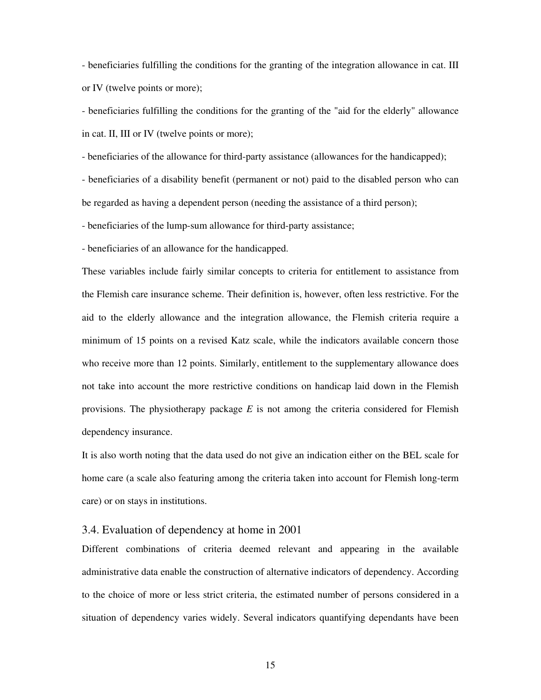- beneficiaries fulfilling the conditions for the granting of the integration allowance in cat. III or IV (twelve points or more);

- beneficiaries fulfilling the conditions for the granting of the "aid for the elderly" allowance in cat. II, III or IV (twelve points or more);

- beneficiaries of the allowance for third-party assistance (allowances for the handicapped);

- beneficiaries of a disability benefit (permanent or not) paid to the disabled person who can be regarded as having a dependent person (needing the assistance of a third person);

- beneficiaries of the lump-sum allowance for third-party assistance;

- beneficiaries of an allowance for the handicapped.

These variables include fairly similar concepts to criteria for entitlement to assistance from the Flemish care insurance scheme. Their definition is, however, often less restrictive. For the aid to the elderly allowance and the integration allowance, the Flemish criteria require a minimum of 15 points on a revised Katz scale, while the indicators available concern those who receive more than 12 points. Similarly, entitlement to the supplementary allowance does not take into account the more restrictive conditions on handicap laid down in the Flemish provisions. The physiotherapy package *E* is not among the criteria considered for Flemish dependency insurance.

It is also worth noting that the data used do not give an indication either on the BEL scale for home care (a scale also featuring among the criteria taken into account for Flemish long-term care) or on stays in institutions.

#### 3.4. Evaluation of dependency at home in 2001

Different combinations of criteria deemed relevant and appearing in the available administrative data enable the construction of alternative indicators of dependency. According to the choice of more or less strict criteria, the estimated number of persons considered in a situation of dependency varies widely. Several indicators quantifying dependants have been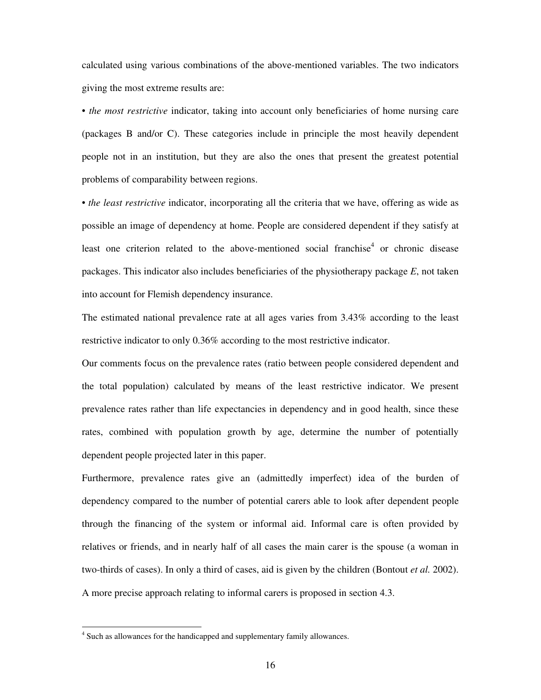calculated using various combinations of the above-mentioned variables. The two indicators giving the most extreme results are:

• *the most restrictive* indicator, taking into account only beneficiaries of home nursing care (packages B and/or C). These categories include in principle the most heavily dependent people not in an institution, but they are also the ones that present the greatest potential problems of comparability between regions.

• *the least restrictive* indicator, incorporating all the criteria that we have, offering as wide as possible an image of dependency at home. People are considered dependent if they satisfy at least one criterion related to the above-mentioned social franchise<sup>4</sup> or chronic disease packages. This indicator also includes beneficiaries of the physiotherapy package *E*, not taken into account for Flemish dependency insurance.

The estimated national prevalence rate at all ages varies from 3.43% according to the least restrictive indicator to only 0.36% according to the most restrictive indicator.

Our comments focus on the prevalence rates (ratio between people considered dependent and the total population) calculated by means of the least restrictive indicator. We present prevalence rates rather than life expectancies in dependency and in good health, since these rates, combined with population growth by age, determine the number of potentially dependent people projected later in this paper.

Furthermore, prevalence rates give an (admittedly imperfect) idea of the burden of dependency compared to the number of potential carers able to look after dependent people through the financing of the system or informal aid. Informal care is often provided by relatives or friends, and in nearly half of all cases the main carer is the spouse (a woman in two-thirds of cases). In only a third of cases, aid is given by the children (Bontout *et al.* 2002). A more precise approach relating to informal carers is proposed in section 4.3.

 $\overline{a}$ 

<sup>&</sup>lt;sup>4</sup> Such as allowances for the handicapped and supplementary family allowances.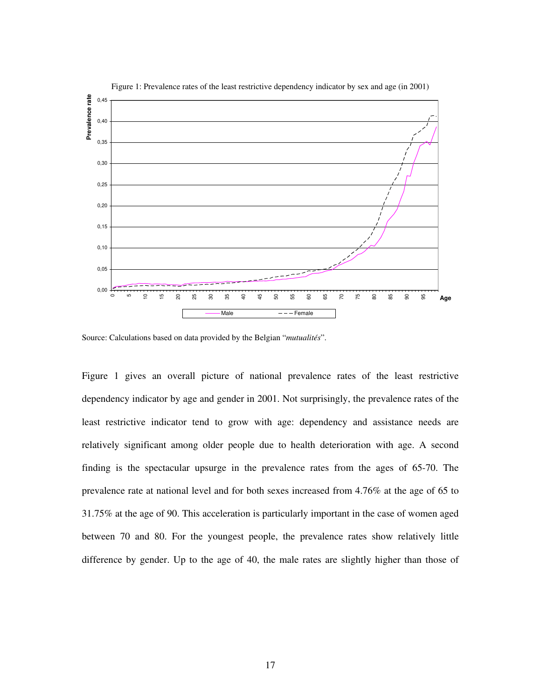

Figure 1: Prevalence rates of the least restrictive dependency indicator by sex and age (in 2001)

Source: Calculations based on data provided by the Belgian "*mutualités*".

Figure 1 gives an overall picture of national prevalence rates of the least restrictive dependency indicator by age and gender in 2001. Not surprisingly, the prevalence rates of the least restrictive indicator tend to grow with age: dependency and assistance needs are relatively significant among older people due to health deterioration with age. A second finding is the spectacular upsurge in the prevalence rates from the ages of 65-70. The prevalence rate at national level and for both sexes increased from 4.76% at the age of 65 to 31.75% at the age of 90. This acceleration is particularly important in the case of women aged between 70 and 80. For the youngest people, the prevalence rates show relatively little difference by gender. Up to the age of 40, the male rates are slightly higher than those of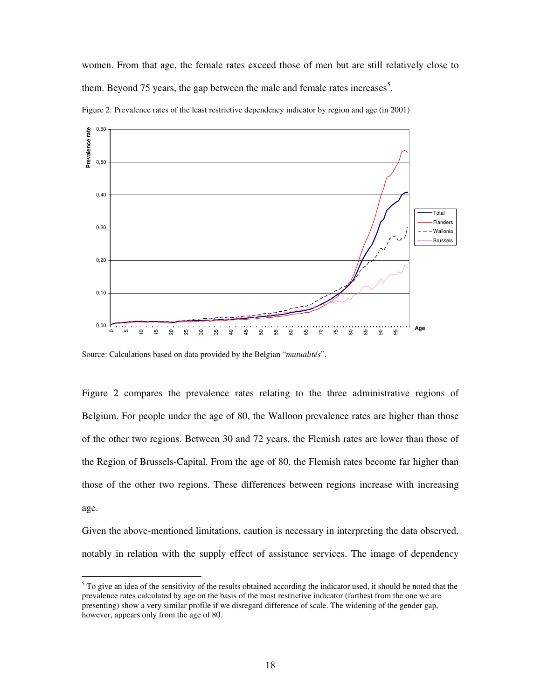women. From that age, the female rates exceed those of men but are still relatively close to them. Beyond 75 years, the gap between the male and female rates increases<sup>5</sup>.



Figure 2: Prevalence rates of the least restrictive dependency indicator by region and age (in 2001)

Source: Calculations based on data provided by the Belgian "*mutualités*".

 $\overline{a}$ 

Figure 2 compares the prevalence rates relating to the three administrative regions of Belgium. For people under the age of 80, the Walloon prevalence rates are higher than those of the other two regions. Between 30 and 72 years, the Flemish rates are lower than those of the Region of Brussels-Capital. From the age of 80, the Flemish rates become far higher than those of the other two regions. These differences between regions increase with increasing age.

Given the above-mentioned limitations, caution is necessary in interpreting the data observed, notably in relation with the supply effect of assistance services. The image of dependency

 $5$  To give an idea of the sensitivity of the results obtained according the indicator used, it should be noted that the prevalence rates calculated by age on the basis of the most restrictive indicator (farthest from the one we are presenting) show a very similar profile if we disregard difference of scale. The widening of the gender gap, however, appears only from the age of 80.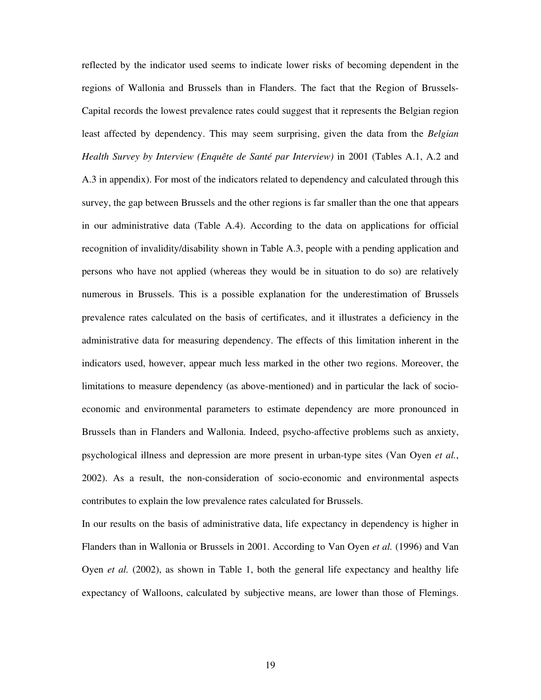reflected by the indicator used seems to indicate lower risks of becoming dependent in the regions of Wallonia and Brussels than in Flanders. The fact that the Region of Brussels-Capital records the lowest prevalence rates could suggest that it represents the Belgian region least affected by dependency. This may seem surprising, given the data from the *Belgian Health Survey by Interview (Enquête de Santé par Interview)* in 2001 (Tables A.1, A.2 and A.3 in appendix). For most of the indicators related to dependency and calculated through this survey, the gap between Brussels and the other regions is far smaller than the one that appears in our administrative data (Table A.4). According to the data on applications for official recognition of invalidity/disability shown in Table A.3, people with a pending application and persons who have not applied (whereas they would be in situation to do so) are relatively numerous in Brussels. This is a possible explanation for the underestimation of Brussels prevalence rates calculated on the basis of certificates, and it illustrates a deficiency in the administrative data for measuring dependency. The effects of this limitation inherent in the indicators used, however, appear much less marked in the other two regions. Moreover, the limitations to measure dependency (as above-mentioned) and in particular the lack of socioeconomic and environmental parameters to estimate dependency are more pronounced in Brussels than in Flanders and Wallonia. Indeed, psycho-affective problems such as anxiety, psychological illness and depression are more present in urban-type sites (Van Oyen *et al.*, 2002). As a result, the non-consideration of socio-economic and environmental aspects contributes to explain the low prevalence rates calculated for Brussels.

In our results on the basis of administrative data, life expectancy in dependency is higher in Flanders than in Wallonia or Brussels in 2001. According to Van Oyen *et al.* (1996) and Van Oyen *et al.* (2002), as shown in Table 1, both the general life expectancy and healthy life expectancy of Walloons, calculated by subjective means, are lower than those of Flemings.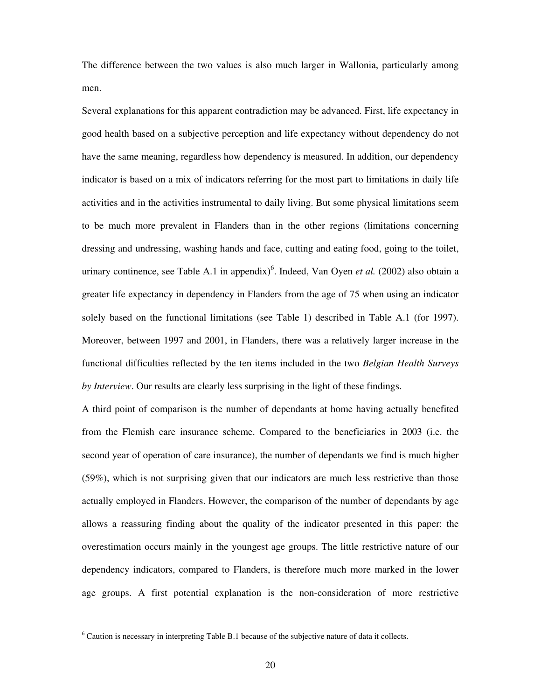The difference between the two values is also much larger in Wallonia, particularly among men.

Several explanations for this apparent contradiction may be advanced. First, life expectancy in good health based on a subjective perception and life expectancy without dependency do not have the same meaning, regardless how dependency is measured. In addition, our dependency indicator is based on a mix of indicators referring for the most part to limitations in daily life activities and in the activities instrumental to daily living. But some physical limitations seem to be much more prevalent in Flanders than in the other regions (limitations concerning dressing and undressing, washing hands and face, cutting and eating food, going to the toilet, urinary continence, see Table A.1 in appendix)<sup>6</sup>. Indeed, Van Oyen *et al.* (2002) also obtain a greater life expectancy in dependency in Flanders from the age of 75 when using an indicator solely based on the functional limitations (see Table 1) described in Table A.1 (for 1997). Moreover, between 1997 and 2001, in Flanders, there was a relatively larger increase in the functional difficulties reflected by the ten items included in the two *Belgian Health Surveys by Interview*. Our results are clearly less surprising in the light of these findings.

A third point of comparison is the number of dependants at home having actually benefited from the Flemish care insurance scheme. Compared to the beneficiaries in 2003 (i.e. the second year of operation of care insurance), the number of dependants we find is much higher (59%), which is not surprising given that our indicators are much less restrictive than those actually employed in Flanders. However, the comparison of the number of dependants by age allows a reassuring finding about the quality of the indicator presented in this paper: the overestimation occurs mainly in the youngest age groups. The little restrictive nature of our dependency indicators, compared to Flanders, is therefore much more marked in the lower age groups. A first potential explanation is the non-consideration of more restrictive

 $\overline{a}$ 

<sup>&</sup>lt;sup>6</sup> Caution is necessary in interpreting Table B.1 because of the subjective nature of data it collects.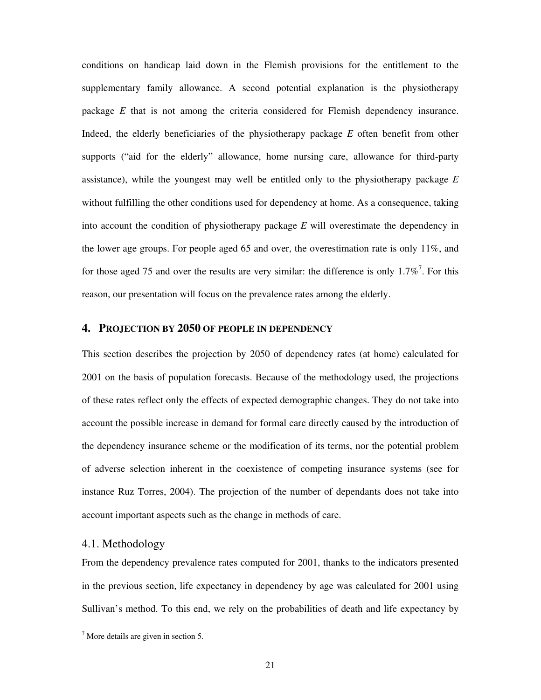conditions on handicap laid down in the Flemish provisions for the entitlement to the supplementary family allowance. A second potential explanation is the physiotherapy package *E* that is not among the criteria considered for Flemish dependency insurance. Indeed, the elderly beneficiaries of the physiotherapy package *E* often benefit from other supports ("aid for the elderly" allowance, home nursing care, allowance for third-party assistance), while the youngest may well be entitled only to the physiotherapy package *E* without fulfilling the other conditions used for dependency at home. As a consequence, taking into account the condition of physiotherapy package *E* will overestimate the dependency in the lower age groups. For people aged 65 and over, the overestimation rate is only 11%, and for those aged 75 and over the results are very similar: the difference is only  $1.7\%$ <sup>7</sup>. For this reason, our presentation will focus on the prevalence rates among the elderly.

#### **4. PROJECTION BY 2050 OF PEOPLE IN DEPENDENCY**

This section describes the projection by 2050 of dependency rates (at home) calculated for 2001 on the basis of population forecasts. Because of the methodology used, the projections of these rates reflect only the effects of expected demographic changes. They do not take into account the possible increase in demand for formal care directly caused by the introduction of the dependency insurance scheme or the modification of its terms, nor the potential problem of adverse selection inherent in the coexistence of competing insurance systems (see for instance Ruz Torres, 2004). The projection of the number of dependants does not take into account important aspects such as the change in methods of care.

#### 4.1. Methodology

 $\overline{a}$ 

From the dependency prevalence rates computed for 2001, thanks to the indicators presented in the previous section, life expectancy in dependency by age was calculated for 2001 using Sullivan's method. To this end, we rely on the probabilities of death and life expectancy by

<sup>&</sup>lt;sup>7</sup> More details are given in section 5.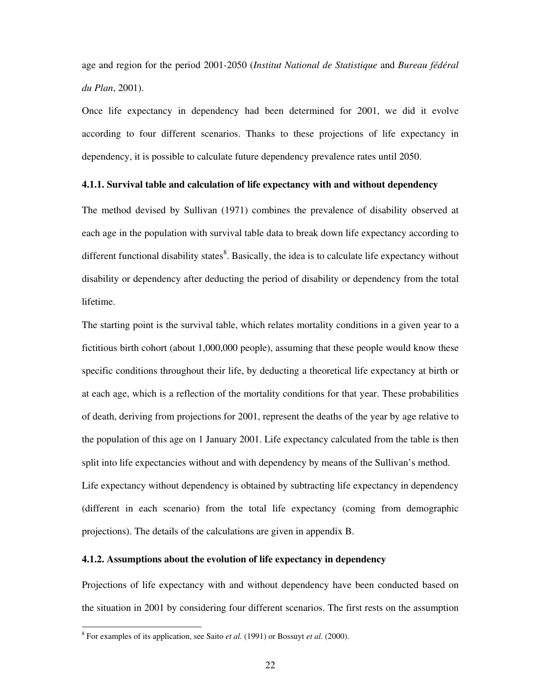age and region for the period 2001-2050 (*Institut National de Statistique* and *Bureau fédéral du Plan*, 2001).

Once life expectancy in dependency had been determined for 2001, we did it evolve according to four different scenarios. Thanks to these projections of life expectancy in dependency, it is possible to calculate future dependency prevalence rates until 2050.

#### **4.1.1. Survival table and calculation of life expectancy with and without dependency**

The method devised by Sullivan (1971) combines the prevalence of disability observed at each age in the population with survival table data to break down life expectancy according to different functional disability states<sup>8</sup>. Basically, the idea is to calculate life expectancy without disability or dependency after deducting the period of disability or dependency from the total lifetime.

The starting point is the survival table, which relates mortality conditions in a given year to a fictitious birth cohort (about 1,000,000 people), assuming that these people would know these specific conditions throughout their life, by deducting a theoretical life expectancy at birth or at each age, which is a reflection of the mortality conditions for that year. These probabilities of death, deriving from projections for 2001, represent the deaths of the year by age relative to the population of this age on 1 January 2001. Life expectancy calculated from the table is then split into life expectancies without and with dependency by means of the Sullivan's method. Life expectancy without dependency is obtained by subtracting life expectancy in dependency (different in each scenario) from the total life expectancy (coming from demographic projections). The details of the calculations are given in appendix B.

#### **4.1.2. Assumptions about the evolution of life expectancy in dependency**

Projections of life expectancy with and without dependency have been conducted based on the situation in 2001 by considering four different scenarios. The first rests on the assumption

 $\overline{a}$ 

<sup>8</sup> For examples of its application, see Saito *et al.* (1991) or Bossuyt *et al.* (2000).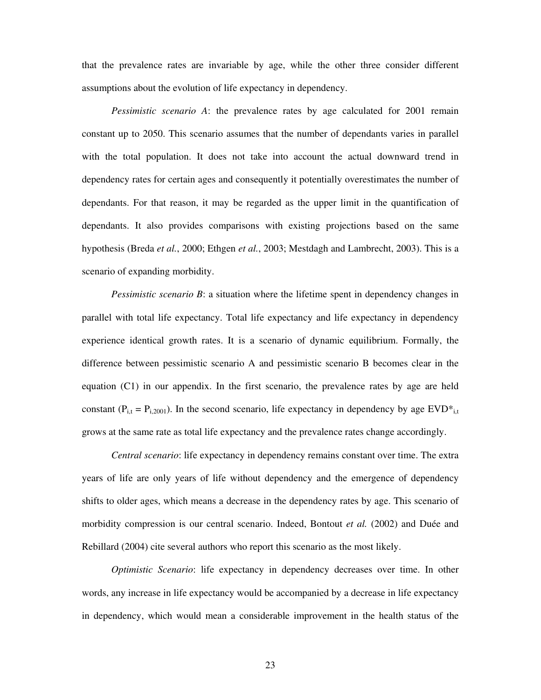that the prevalence rates are invariable by age, while the other three consider different assumptions about the evolution of life expectancy in dependency.

*Pessimistic scenario A*: the prevalence rates by age calculated for 2001 remain constant up to 2050. This scenario assumes that the number of dependants varies in parallel with the total population. It does not take into account the actual downward trend in dependency rates for certain ages and consequently it potentially overestimates the number of dependants. For that reason, it may be regarded as the upper limit in the quantification of dependants. It also provides comparisons with existing projections based on the same hypothesis (Breda *et al.*, 2000; Ethgen *et al.*, 2003; Mestdagh and Lambrecht, 2003). This is a scenario of expanding morbidity.

*Pessimistic scenario B*: a situation where the lifetime spent in dependency changes in parallel with total life expectancy. Total life expectancy and life expectancy in dependency experience identical growth rates. It is a scenario of dynamic equilibrium. Formally, the difference between pessimistic scenario A and pessimistic scenario B becomes clear in the equation (C1) in our appendix. In the first scenario, the prevalence rates by age are held constant ( $P_{i,t} = P_{i,2001}$ ). In the second scenario, life expectancy in dependency by age  $EVD_{i,t}^*$ grows at the same rate as total life expectancy and the prevalence rates change accordingly.

*Central scenario*: life expectancy in dependency remains constant over time. The extra years of life are only years of life without dependency and the emergence of dependency shifts to older ages, which means a decrease in the dependency rates by age. This scenario of morbidity compression is our central scenario. Indeed, Bontout *et al.* (2002) and Duée and Rebillard (2004) cite several authors who report this scenario as the most likely.

*Optimistic Scenario*: life expectancy in dependency decreases over time. In other words, any increase in life expectancy would be accompanied by a decrease in life expectancy in dependency, which would mean a considerable improvement in the health status of the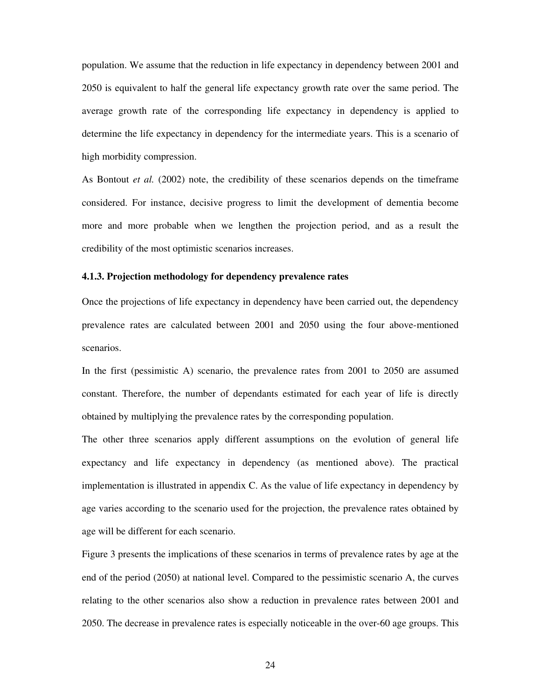population. We assume that the reduction in life expectancy in dependency between 2001 and 2050 is equivalent to half the general life expectancy growth rate over the same period. The average growth rate of the corresponding life expectancy in dependency is applied to determine the life expectancy in dependency for the intermediate years. This is a scenario of high morbidity compression.

As Bontout *et al.* (2002) note, the credibility of these scenarios depends on the timeframe considered. For instance, decisive progress to limit the development of dementia become more and more probable when we lengthen the projection period, and as a result the credibility of the most optimistic scenarios increases.

#### **4.1.3. Projection methodology for dependency prevalence rates**

Once the projections of life expectancy in dependency have been carried out, the dependency prevalence rates are calculated between 2001 and 2050 using the four above-mentioned scenarios.

In the first (pessimistic A) scenario, the prevalence rates from 2001 to 2050 are assumed constant. Therefore, the number of dependants estimated for each year of life is directly obtained by multiplying the prevalence rates by the corresponding population.

The other three scenarios apply different assumptions on the evolution of general life expectancy and life expectancy in dependency (as mentioned above). The practical implementation is illustrated in appendix C. As the value of life expectancy in dependency by age varies according to the scenario used for the projection, the prevalence rates obtained by age will be different for each scenario.

Figure 3 presents the implications of these scenarios in terms of prevalence rates by age at the end of the period (2050) at national level. Compared to the pessimistic scenario A, the curves relating to the other scenarios also show a reduction in prevalence rates between 2001 and 2050. The decrease in prevalence rates is especially noticeable in the over-60 age groups. This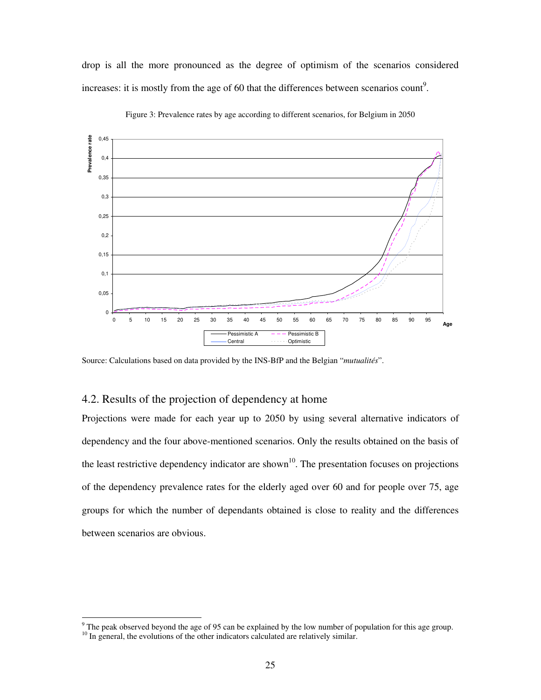drop is all the more pronounced as the degree of optimism of the scenarios considered increases: it is mostly from the age of 60 that the differences between scenarios count<sup>9</sup>.



Figure 3: Prevalence rates by age according to different scenarios, for Belgium in 2050

Source: Calculations based on data provided by the INS-BfP and the Belgian "*mutualités*".

### 4.2. Results of the projection of dependency at home

Projections were made for each year up to 2050 by using several alternative indicators of dependency and the four above-mentioned scenarios. Only the results obtained on the basis of the least restrictive dependency indicator are shown<sup>10</sup>. The presentation focuses on projections of the dependency prevalence rates for the elderly aged over 60 and for people over 75, age groups for which the number of dependants obtained is close to reality and the differences between scenarios are obvious.

<sup>&</sup>lt;sup>9</sup> The peak observed beyond the age of 95 can be explained by the low number of population for this age group.

 $10$  In general, the evolutions of the other indicators calculated are relatively similar.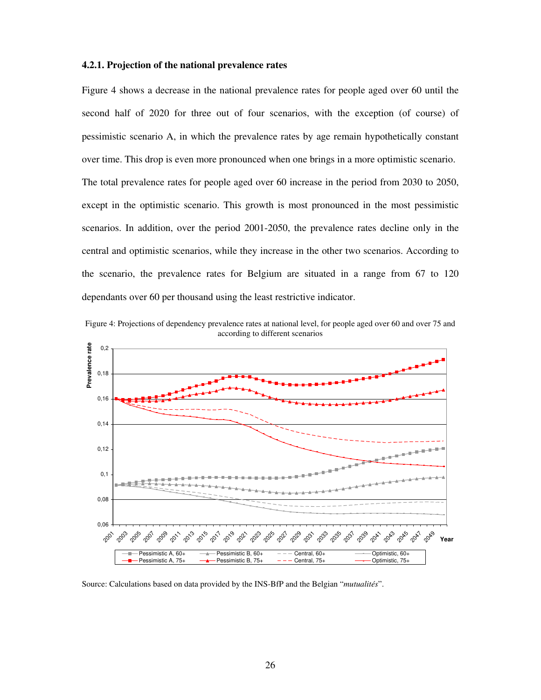#### **4.2.1. Projection of the national prevalence rates**

Figure 4 shows a decrease in the national prevalence rates for people aged over 60 until the second half of 2020 for three out of four scenarios, with the exception (of course) of pessimistic scenario A, in which the prevalence rates by age remain hypothetically constant over time. This drop is even more pronounced when one brings in a more optimistic scenario. The total prevalence rates for people aged over 60 increase in the period from 2030 to 2050, except in the optimistic scenario. This growth is most pronounced in the most pessimistic scenarios. In addition, over the period 2001-2050, the prevalence rates decline only in the central and optimistic scenarios, while they increase in the other two scenarios. According to the scenario, the prevalence rates for Belgium are situated in a range from 67 to 120 dependants over 60 per thousand using the least restrictive indicator.





Source: Calculations based on data provided by the INS-BfP and the Belgian "*mutualités*".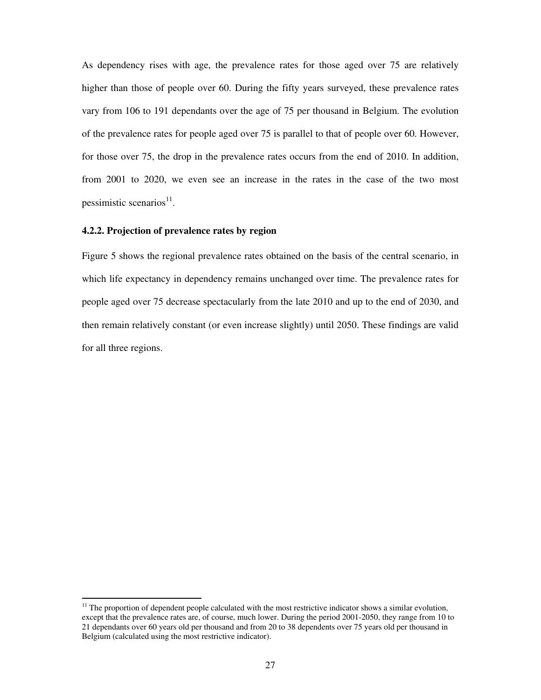As dependency rises with age, the prevalence rates for those aged over 75 are relatively higher than those of people over 60. During the fifty years surveyed, these prevalence rates vary from 106 to 191 dependants over the age of 75 per thousand in Belgium. The evolution of the prevalence rates for people aged over 75 is parallel to that of people over 60. However, for those over 75, the drop in the prevalence rates occurs from the end of 2010. In addition, from 2001 to 2020, we even see an increase in the rates in the case of the two most pessimistic scenarios<sup>11</sup>.

#### **4.2.2. Projection of prevalence rates by region**

 $\overline{a}$ 

Figure 5 shows the regional prevalence rates obtained on the basis of the central scenario, in which life expectancy in dependency remains unchanged over time. The prevalence rates for people aged over 75 decrease spectacularly from the late 2010 and up to the end of 2030, and then remain relatively constant (or even increase slightly) until 2050. These findings are valid for all three regions.

 $11$  The proportion of dependent people calculated with the most restrictive indicator shows a similar evolution, except that the prevalence rates are, of course, much lower. During the period 2001-2050, they range from 10 to 21 dependants over 60 years old per thousand and from 20 to 38 dependents over 75 years old per thousand in Belgium (calculated using the most restrictive indicator).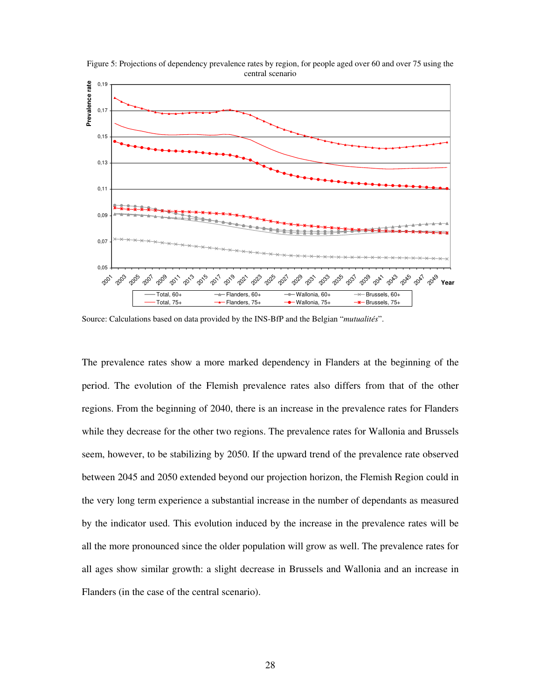

Figure 5: Projections of dependency prevalence rates by region, for people aged over 60 and over 75 using the central scenario

Source: Calculations based on data provided by the INS-BfP and the Belgian "*mutualités*".

The prevalence rates show a more marked dependency in Flanders at the beginning of the period. The evolution of the Flemish prevalence rates also differs from that of the other regions. From the beginning of 2040, there is an increase in the prevalence rates for Flanders while they decrease for the other two regions. The prevalence rates for Wallonia and Brussels seem, however, to be stabilizing by 2050. If the upward trend of the prevalence rate observed between 2045 and 2050 extended beyond our projection horizon, the Flemish Region could in the very long term experience a substantial increase in the number of dependants as measured by the indicator used. This evolution induced by the increase in the prevalence rates will be all the more pronounced since the older population will grow as well. The prevalence rates for all ages show similar growth: a slight decrease in Brussels and Wallonia and an increase in Flanders (in the case of the central scenario).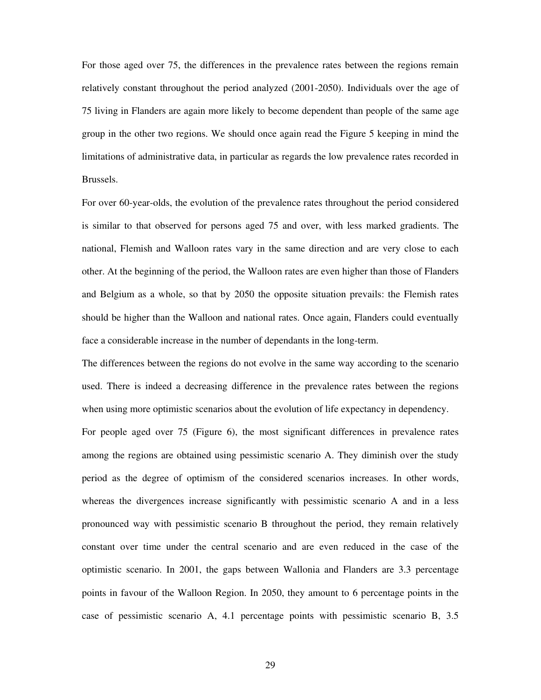For those aged over 75, the differences in the prevalence rates between the regions remain relatively constant throughout the period analyzed (2001-2050). Individuals over the age of 75 living in Flanders are again more likely to become dependent than people of the same age group in the other two regions. We should once again read the Figure 5 keeping in mind the limitations of administrative data, in particular as regards the low prevalence rates recorded in Brussels.

For over 60-year-olds, the evolution of the prevalence rates throughout the period considered is similar to that observed for persons aged 75 and over, with less marked gradients. The national, Flemish and Walloon rates vary in the same direction and are very close to each other. At the beginning of the period, the Walloon rates are even higher than those of Flanders and Belgium as a whole, so that by 2050 the opposite situation prevails: the Flemish rates should be higher than the Walloon and national rates. Once again, Flanders could eventually face a considerable increase in the number of dependants in the long-term.

The differences between the regions do not evolve in the same way according to the scenario used. There is indeed a decreasing difference in the prevalence rates between the regions when using more optimistic scenarios about the evolution of life expectancy in dependency.

For people aged over 75 (Figure 6), the most significant differences in prevalence rates among the regions are obtained using pessimistic scenario A. They diminish over the study period as the degree of optimism of the considered scenarios increases. In other words, whereas the divergences increase significantly with pessimistic scenario A and in a less pronounced way with pessimistic scenario B throughout the period, they remain relatively constant over time under the central scenario and are even reduced in the case of the optimistic scenario. In 2001, the gaps between Wallonia and Flanders are 3.3 percentage points in favour of the Walloon Region. In 2050, they amount to 6 percentage points in the case of pessimistic scenario A, 4.1 percentage points with pessimistic scenario B, 3.5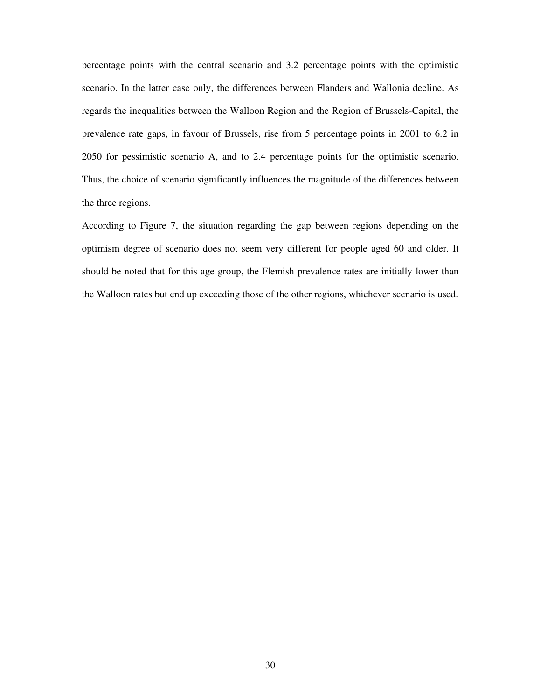percentage points with the central scenario and 3.2 percentage points with the optimistic scenario. In the latter case only, the differences between Flanders and Wallonia decline. As regards the inequalities between the Walloon Region and the Region of Brussels-Capital, the prevalence rate gaps, in favour of Brussels, rise from 5 percentage points in 2001 to 6.2 in 2050 for pessimistic scenario A, and to 2.4 percentage points for the optimistic scenario. Thus, the choice of scenario significantly influences the magnitude of the differences between the three regions.

According to Figure 7, the situation regarding the gap between regions depending on the optimism degree of scenario does not seem very different for people aged 60 and older. It should be noted that for this age group, the Flemish prevalence rates are initially lower than the Walloon rates but end up exceeding those of the other regions, whichever scenario is used.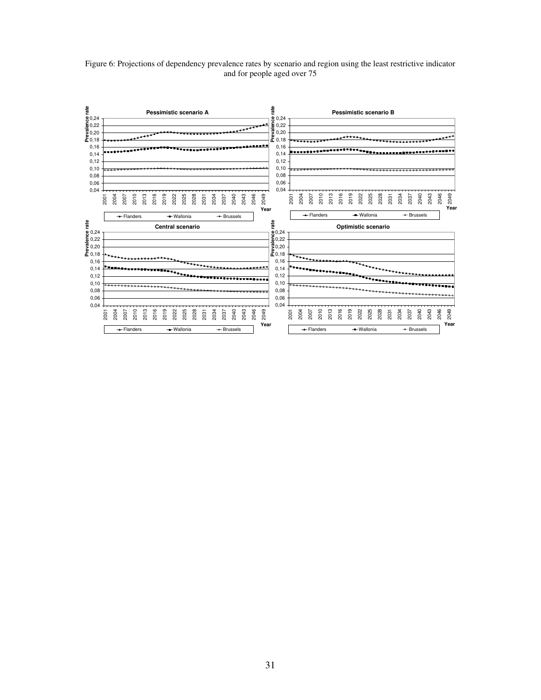Figure 6: Projections of dependency prevalence rates by scenario and region using the least restrictive indicator and for people aged over 75

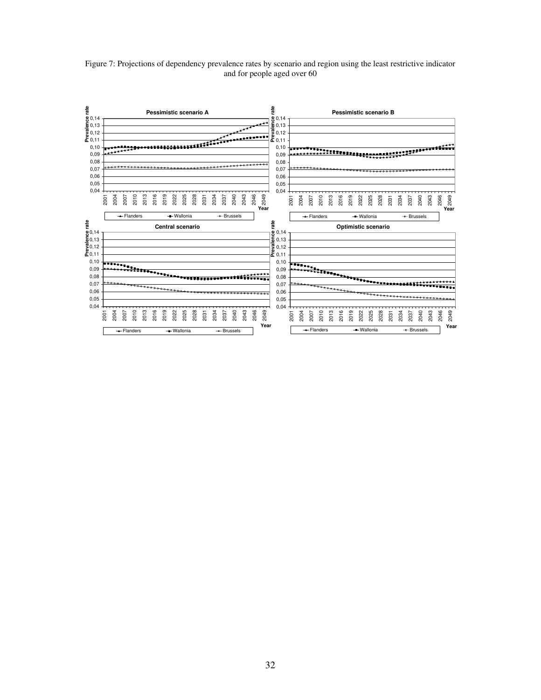Figure 7: Projections of dependency prevalence rates by scenario and region using the least restrictive indicator and for people aged over 60

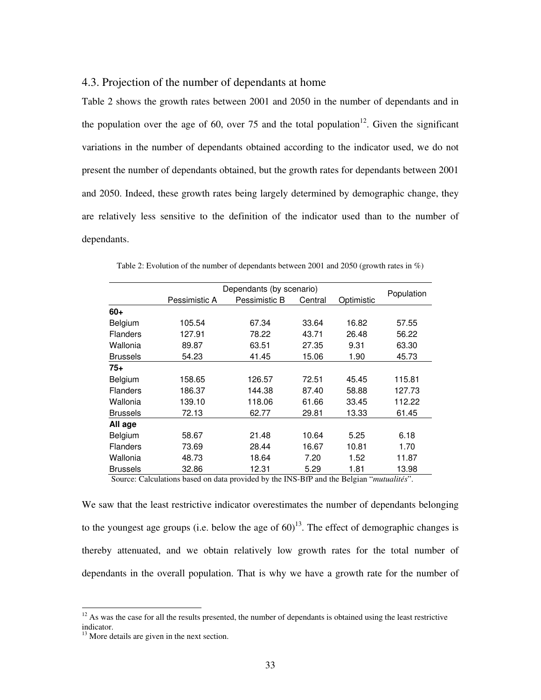#### 4.3. Projection of the number of dependants at home

Table 2 shows the growth rates between 2001 and 2050 in the number of dependants and in the population over the age of 60, over 75 and the total population<sup>12</sup>. Given the significant variations in the number of dependants obtained according to the indicator used, we do not present the number of dependants obtained, but the growth rates for dependants between 2001 and 2050. Indeed, these growth rates being largely determined by demographic change, they are relatively less sensitive to the definition of the indicator used than to the number of dependants.

|                                                | Dependants (by scenario) |               | Population             |                           |                   |
|------------------------------------------------|--------------------------|---------------|------------------------|---------------------------|-------------------|
|                                                | Pessimistic A            | Pessimistic B | Central                | Optimistic                |                   |
| $60+$                                          |                          |               |                        |                           |                   |
| Belgium                                        | 105.54                   | 67.34         | 33.64                  | 16.82                     | 57.55             |
| <b>Flanders</b>                                | 127.91                   | 78.22         | 43.71                  | 26.48                     | 56.22             |
| Wallonia                                       | 89.87                    | 63.51         | 27.35                  | 9.31                      | 63.30             |
| <b>Brussels</b>                                | 54.23                    | 41.45         | 15.06                  | 1.90                      | 45.73             |
| 75+                                            |                          |               |                        |                           |                   |
| Belgium                                        | 158.65                   | 126.57        | 72.51                  | 45.45                     | 115.81            |
| <b>Flanders</b>                                | 186.37                   | 144.38        | 87.40                  | 58.88                     | 127.73            |
| Wallonia                                       | 139.10                   | 118.06        | 61.66                  | 33.45                     | 112.22            |
| <b>Brussels</b>                                | 72.13                    | 62.77         | 29.81                  | 13.33                     | 61.45             |
| All age                                        |                          |               |                        |                           |                   |
| Belgium                                        | 58.67                    | 21.48         | 10.64                  | 5.25                      | 6.18              |
| <b>Flanders</b>                                | 73.69                    | 28.44         | 16.67                  | 10.81                     | 1.70              |
| Wallonia                                       | 48.73                    | 18.64         | 7.20                   | 1.52                      | 11.87             |
| <b>Brussels</b><br>$\sim$ 1<br>$\cdot$ $\cdot$ | 32.86<br>$\mathbf{1}$    | 12.31<br>.    | 5.29<br>T1TQTQT<br>1.1 | 1.81<br>- -<br>$\epsilon$ | 13.98<br>$\cdots$ |

Table 2: Evolution of the number of dependants between 2001 and 2050 (growth rates in %)

Source: Calculations based on data provided by the INS-BfP and the Belgian "*mutualités*".

We saw that the least restrictive indicator overestimates the number of dependants belonging to the youngest age groups (i.e. below the age of  $60$ )<sup>13</sup>. The effect of demographic changes is thereby attenuated, and we obtain relatively low growth rates for the total number of dependants in the overall population. That is why we have a growth rate for the number of

 $\overline{a}$ 

 $12$  As was the case for all the results presented, the number of dependants is obtained using the least restrictive indicator.

<sup>&</sup>lt;sup>13</sup> More details are given in the next section.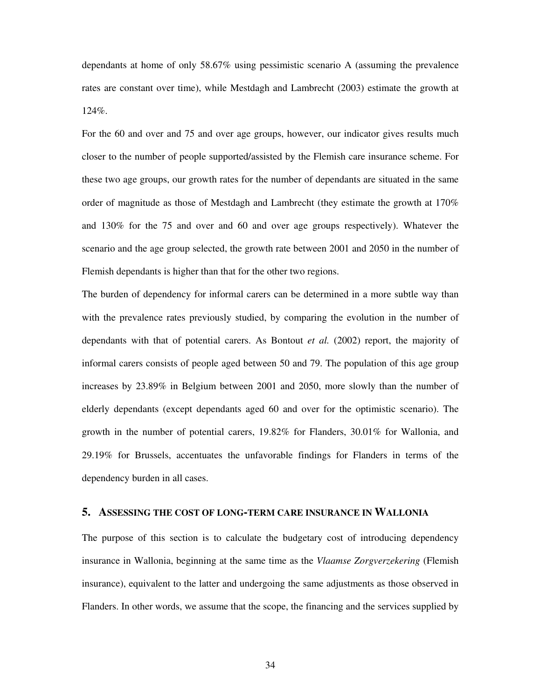dependants at home of only 58.67% using pessimistic scenario A (assuming the prevalence rates are constant over time), while Mestdagh and Lambrecht (2003) estimate the growth at 124%.

For the 60 and over and 75 and over age groups, however, our indicator gives results much closer to the number of people supported/assisted by the Flemish care insurance scheme. For these two age groups, our growth rates for the number of dependants are situated in the same order of magnitude as those of Mestdagh and Lambrecht (they estimate the growth at 170% and 130% for the 75 and over and 60 and over age groups respectively). Whatever the scenario and the age group selected, the growth rate between 2001 and 2050 in the number of Flemish dependants is higher than that for the other two regions.

The burden of dependency for informal carers can be determined in a more subtle way than with the prevalence rates previously studied, by comparing the evolution in the number of dependants with that of potential carers. As Bontout *et al.* (2002) report, the majority of informal carers consists of people aged between 50 and 79. The population of this age group increases by 23.89% in Belgium between 2001 and 2050, more slowly than the number of elderly dependants (except dependants aged 60 and over for the optimistic scenario). The growth in the number of potential carers, 19.82% for Flanders, 30.01% for Wallonia, and 29.19% for Brussels, accentuates the unfavorable findings for Flanders in terms of the dependency burden in all cases.

#### **5. ASSESSING THE COST OF LONG-TERM CARE INSURANCE IN WALLONIA**

The purpose of this section is to calculate the budgetary cost of introducing dependency insurance in Wallonia, beginning at the same time as the *Vlaamse Zorgverzekering* (Flemish insurance), equivalent to the latter and undergoing the same adjustments as those observed in Flanders. In other words, we assume that the scope, the financing and the services supplied by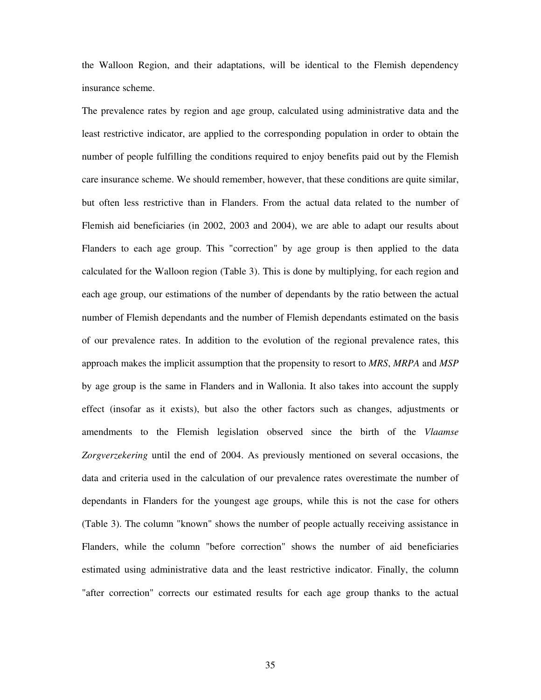the Walloon Region, and their adaptations, will be identical to the Flemish dependency insurance scheme.

The prevalence rates by region and age group, calculated using administrative data and the least restrictive indicator, are applied to the corresponding population in order to obtain the number of people fulfilling the conditions required to enjoy benefits paid out by the Flemish care insurance scheme. We should remember, however, that these conditions are quite similar, but often less restrictive than in Flanders. From the actual data related to the number of Flemish aid beneficiaries (in 2002, 2003 and 2004), we are able to adapt our results about Flanders to each age group. This "correction" by age group is then applied to the data calculated for the Walloon region (Table 3). This is done by multiplying, for each region and each age group, our estimations of the number of dependants by the ratio between the actual number of Flemish dependants and the number of Flemish dependants estimated on the basis of our prevalence rates. In addition to the evolution of the regional prevalence rates, this approach makes the implicit assumption that the propensity to resort to *MRS*, *MRPA* and *MSP* by age group is the same in Flanders and in Wallonia. It also takes into account the supply effect (insofar as it exists), but also the other factors such as changes, adjustments or amendments to the Flemish legislation observed since the birth of the *Vlaamse Zorgverzekering* until the end of 2004. As previously mentioned on several occasions, the data and criteria used in the calculation of our prevalence rates overestimate the number of dependants in Flanders for the youngest age groups, while this is not the case for others (Table 3). The column "known" shows the number of people actually receiving assistance in Flanders, while the column "before correction" shows the number of aid beneficiaries estimated using administrative data and the least restrictive indicator. Finally, the column "after correction" corrects our estimated results for each age group thanks to the actual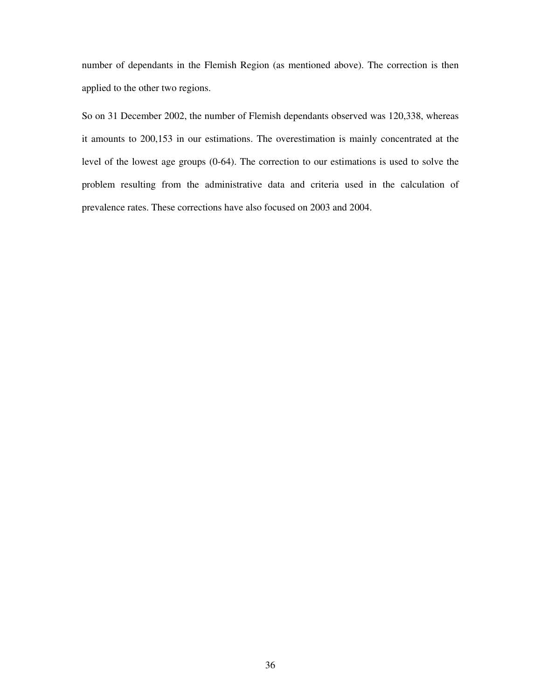number of dependants in the Flemish Region (as mentioned above). The correction is then applied to the other two regions.

So on 31 December 2002, the number of Flemish dependants observed was 120,338, whereas it amounts to 200,153 in our estimations. The overestimation is mainly concentrated at the level of the lowest age groups (0-64). The correction to our estimations is used to solve the problem resulting from the administrative data and criteria used in the calculation of prevalence rates. These corrections have also focused on 2003 and 2004.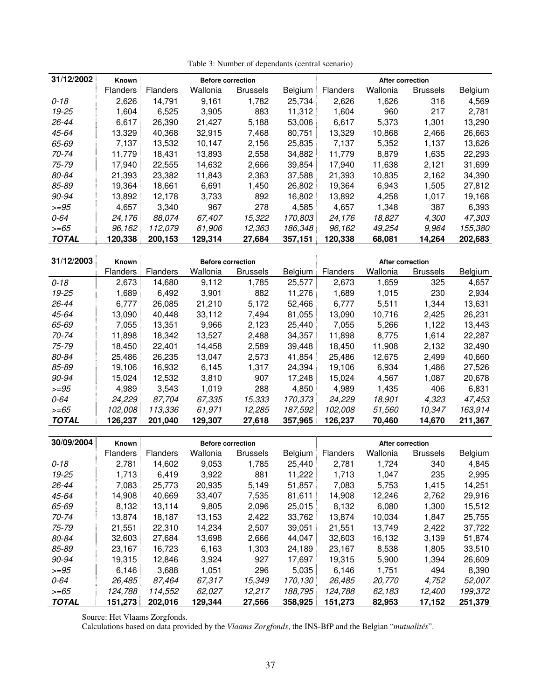| 31/12/2002   | <b>Known</b>    |                 | <b>Before correction</b> |                 |         |                 | <b>After correction</b> |                 |         |
|--------------|-----------------|-----------------|--------------------------|-----------------|---------|-----------------|-------------------------|-----------------|---------|
|              | <b>Flanders</b> | <b>Flanders</b> | Wallonia                 | <b>Brussels</b> | Belgium | <b>Flanders</b> | Wallonia                | <b>Brussels</b> | Belgium |
| $0 - 18$     | 2,626           | 14,791          | 9,161                    | 1,782           | 25,734  | 2,626           | 1,626                   | 316             | 4,569   |
| 19-25        | 1.604           | 6.525           | 3,905                    | 883             | 11.312  | 1.604           | 960                     | 217             | 2.781   |
| $26 - 44$    | 6,617           | 26,390          | 21,427                   | 5,188           | 53,006  | 6,617           | 5,373                   | 1,301           | 13,290  |
| 45-64        | 13.329          | 40.368          | 32.915                   | 7.468           | 80.751  | 13.329          | 10.868                  | 2.466           | 26,663  |
| 65-69        | 7.137           | 13,532          | 10,147                   | 2,156           | 25,835  | 7.137           | 5,352                   | 1,137           | 13,626  |
| 70-74        | 11,779          | 18,431          | 13,893                   | 2,558           | 34,882  | 11,779          | 8,879                   | 1,635           | 22,293  |
| 75-79        | 17,940          | 22,555          | 14,632                   | 2,666           | 39,854  | 17.940          | 11,638                  | 2,121           | 31,699  |
| 80-84        | 21,393          | 23.382          | 11,843                   | 2,363           | 37,588  | 21,393          | 10,835                  | 2,162           | 34,390  |
| 85-89        | 19.364          | 18.661          | 6,691                    | 1.450           | 26,802  | 19.364          | 6,943                   | 1,505           | 27,812  |
| 90-94        | 13,892          | 12.178          | 3,733                    | 892             | 16,802  | 13,892          | 4,258                   | 1,017           | 19,168  |
| $>= 95$      | 4.657           | 3,340           | 967                      | 278             | 4,585   | 4.657           | 1.348                   | 387             | 6,393   |
| $0 - 64$     | 24.176          | 88.074          | 67,407                   | 15.322          | 170.803 | 24,176          | 18,827                  | 4,300           | 47.303  |
| $>= 65$      | 96,162          | 112.079         | 61.906                   | 12,363          | 186,348 | 96,162          | 49.254                  | 9.964           | 155,380 |
| <b>TOTAL</b> | 120.338         | 200,153         | 129.314                  | 27,684          | 357,151 | 120,338         | 68,081                  | 14,264          | 202,683 |

| 31/12/2003   | Known           |                 | <b>Before correction</b> |                 |                |                 | After correction |                 |         |
|--------------|-----------------|-----------------|--------------------------|-----------------|----------------|-----------------|------------------|-----------------|---------|
|              | <b>Flanders</b> | <b>Flanders</b> | Wallonia                 | <b>Brussels</b> | <b>Belgium</b> | <b>Flanders</b> | Wallonia         | <b>Brussels</b> | Belgium |
| $0 - 18$     | 2,673           | 14.680          | 9,112                    | 1.785           | 25,577         | 2,673           | 1,659            | 325             | 4,657   |
| 19-25        | 1,689           | 6.492           | 3,901                    | 882             | 11,276         | 1,689           | 1,015            | 230             | 2,934   |
| $26 - 44$    | 6.777           | 26,085          | 21,210                   | 5,172           | 52,466         | 6,777           | 5,511            | 1,344           | 13,631  |
| 45-64        | 13.090          | 40.448          | 33.112                   | 7,494           | 81,055         | 13,090          | 10.716           | 2,425           | 26,231  |
| 65-69        | 7.055           | 13.351          | 9,966                    | 2,123           | 25,440         | 7,055           | 5,266            | 1,122           | 13,443  |
| 70-74        | 11,898          | 18,342          | 13,527                   | 2,488           | 34,357         | 11,898          | 8.775            | 1,614           | 22,287  |
| 75-79        | 18,450          | 22.401          | 14,458                   | 2,589           | 39,448         | 18.450          | 11.908           | 2,132           | 32,490  |
| 80-84        | 25,486          | 26,235          | 13,047                   | 2,573           | 41,854         | 25.486          | 12,675           | 2.499           | 40,660  |
| 85-89        | 19.106          | 16,932          | 6,145                    | 1,317           | 24,394         | 19,106          | 6,934            | 1,486           | 27,526  |
| 90-94        | 15,024          | 12,532          | 3,810                    | 907             | 17,248         | 15,024          | 4,567            | 1,087           | 20,678  |
| $>= 95$      | 4,989           | 3,543           | 1.019                    | 288             | 4,850          | 4.989           | 1,435            | 406             | 6,831   |
| 0-64         | 24.229          | 87.704          | 67.335                   | 15,333          | 170.373        | 24.229          | 18.901           | 4,323           | 47.453  |
| $>= 65$      | 102,008         | 113,336         | 61,971                   | 12.285          | 187,592        | 102,008         | 51.560           | 10,347          | 163,914 |
| <b>TOTAL</b> | 126.237         | 201,040         | 129,307                  | 27,618          | 357,965        | 126,237         | 70,460           | 14,670          | 211,367 |

| 30/09/2004   | Known           |                 | <b>Before correction</b> |                 |         |                 | <b>After correction</b> |                 |         |
|--------------|-----------------|-----------------|--------------------------|-----------------|---------|-----------------|-------------------------|-----------------|---------|
|              | <b>Flanders</b> | <b>Flanders</b> | Wallonia                 | <b>Brussels</b> | Belgium | <b>Flanders</b> | Wallonia                | <b>Brussels</b> | Belgium |
| $0 - 18$     | 2,781           | 14,602          | 9,053                    | 1,785           | 25.440  | 2,781           | 1,724                   | 340             | 4,845   |
| 19-25        | 1.713           | 6.419           | 3,922                    | 881             | 11.222  | 1.713           | 1,047                   | 235             | 2,995   |
| 26-44        | 7,083           | 25,773          | 20,935                   | 5,149           | 51,857  | 7,083           | 5,753                   | 1,415           | 14,251  |
| 45-64        | 14,908          | 40,669          | 33.407                   | 7,535           | 81,611  | 14,908          | 12,246                  | 2,762           | 29,916  |
| 65-69        | 8,132           | 13,114          | 9,805                    | 2,096           | 25,015  | 8,132           | 6,080                   | 1,300           | 15,512  |
| 70-74        | 13,874          | 18.187          | 13,153                   | 2,422           | 33,762  | 13,874          | 10.034                  | 1,847           | 25,755  |
| 75-79        | 21.551          | 22.310          | 14.234                   | 2,507           | 39,051  | 21.551          | 13.749                  | 2,422           | 37,722  |
| 80-84        | 32,603          | 27,684          | 13,698                   | 2,666           | 44,047  | 32,603          | 16,132                  | 3,139           | 51,874  |
| 85-89        | 23,167          | 16,723          | 6,163                    | 1,303           | 24,189  | 23,167          | 8,538                   | 1,805           | 33,510  |
| 90-94        | 19.315          | 12,846          | 3.924                    | 927             | 17,697  | 19,315          | 5,900                   | 1,394           | 26,609  |
| $>= 95$      | 6,146           | 3,688           | 1,051                    | 296             | 5,035   | 6,146           | 1,751                   | 494             | 8,390   |
| 0-64         | 26,485          | 87,464          | 67.317                   | 15,349          | 170.130 | 26,485          | 20,770                  | 4,752           | 52,007  |
| $>= 65$      | 124.788         | 114,552         | 62.027                   | 12,217          | 188.795 | 124.788         | 62.183                  | 12.400          | 199.372 |
| <b>TOTAL</b> | 151.273         | 202.016         | 129,344                  | 27,566          | 358.925 | 151,273         | 82,953                  | 17,152          | 251,379 |

Source: Het Vlaams Zorgfonds.

Calculations based on data provided by the *Vlaams Zorgfonds*, the INS-BfP and the Belgian "*mutualités*".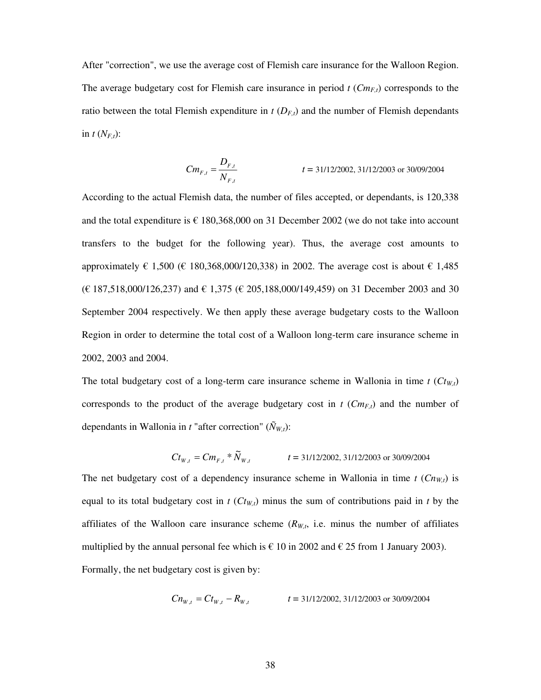After "correction", we use the average cost of Flemish care insurance for the Walloon Region. The average budgetary cost for Flemish care insurance in period *t* (*CmF,t*) corresponds to the ratio between the total Flemish expenditure in  $t$  ( $D_{F,t}$ ) and the number of Flemish dependants in  $t$   $(N_{F,t})$ :

$$
Cm_{F,t} = \frac{D_{F,t}}{N_{F,t}}
$$
  $t = 31/12/2002, 31/12/2003 \text{ or } 30/09/2004$ 

According to the actual Flemish data, the number of files accepted, or dependants, is 120,338 and the total expenditure is  $\epsilon$  180,368,000 on 31 December 2002 (we do not take into account transfers to the budget for the following year). Thus, the average cost amounts to approximately € 1,500 (€ 180,368,000/120,338) in 2002. The average cost is about € 1,485  $(E 187,518,000/126,237)$  and € 1,375  $(E 205,188,000/149,459)$  on 31 December 2003 and 30 September 2004 respectively. We then apply these average budgetary costs to the Walloon Region in order to determine the total cost of a Walloon long-term care insurance scheme in 2002, 2003 and 2004.

The total budgetary cost of a long-term care insurance scheme in Wallonia in time  $t$  ( $C t_{W,t}$ ) corresponds to the product of the average budgetary cost in  $t$  ( $Cm_{F,t}$ ) and the number of dependants in Wallonia in *t* "after correction" ( $\tilde{N}_{W,t}$ ):

$$
C t_{W,t} = C m_{F,t} * \tilde{N}_{W,t} \qquad \qquad t = 31/12/2002, 31/12/2003 \text{ or } 30/09/2004
$$

The net budgetary cost of a dependency insurance scheme in Wallonia in time  $t$  ( $Cn_{W,t}$ ) is equal to its total budgetary cost in  $t$  ( $C t_{W,t}$ ) minus the sum of contributions paid in  $t$  by the affiliates of the Walloon care insurance scheme  $(R_{W,t}$ , i.e. minus the number of affiliates multiplied by the annual personal fee which is  $\epsilon$  10 in 2002 and  $\epsilon$  25 from 1 January 2003). Formally, the net budgetary cost is given by:

$$
Cn_{W,t} = Ct_{W,t} - R_{W,t} \qquad \qquad t = 31/12/2002, 31/12/2003 \text{ or } 30/09/2004
$$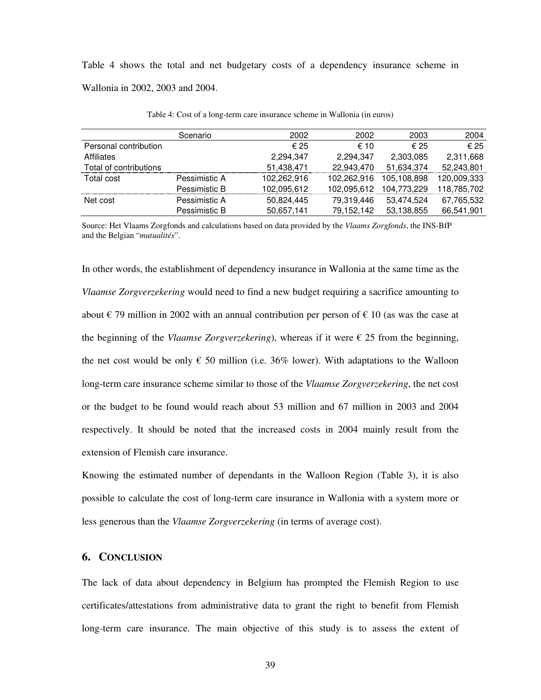Table 4 shows the total and net budgetary costs of a dependency insurance scheme in Wallonia in 2002, 2003 and 2004.

|                        | Scenario      | 2002        | 2002        | 2003        | 2004        |
|------------------------|---------------|-------------|-------------|-------------|-------------|
| Personal contribution  |               | € 25        | € 10        | € 25        | € 25        |
| <b>Affiliates</b>      |               | 2,294,347   | 2.294.347   | 2,303,085   | 2.311.668   |
| Total of contributions |               | 51,438,471  | 22.943.470  | 51,634,374  | 52,243,801  |
| Total cost             | Pessimistic A | 102.262.916 | 102.262.916 | 105.108.898 | 120.009.333 |
|                        | Pessimistic B | 102,095,612 | 102,095,612 | 104,773,229 | 118,785,702 |
| Net cost               | Pessimistic A | 50,824,445  | 79,319,446  | 53,474,524  | 67,765,532  |
|                        | Pessimistic B | 50,657,141  | 79,152,142  | 53,138,855  | 66,541,901  |

Table 4: Cost of a long-term care insurance scheme in Wallonia (in euros)

Source: Het Vlaams Zorgfonds and calculations based on data provided by the *Vlaams Zorgfonds*, the INS-BfP and the Belgian "*mutualités*".

In other words, the establishment of dependency insurance in Wallonia at the same time as the *Vlaamse Zorgverzekering* would need to find a new budget requiring a sacrifice amounting to about  $\epsilon$  79 million in 2002 with an annual contribution per person of  $\epsilon$  10 (as was the case at the beginning of the *Vlaamse Zorgverzekering*), whereas if it were  $\epsilon$  25 from the beginning, the net cost would be only  $\epsilon$  50 million (i.e. 36% lower). With adaptations to the Walloon long-term care insurance scheme similar to those of the *Vlaamse Zorgverzekering*, the net cost or the budget to be found would reach about 53 million and 67 million in 2003 and 2004 respectively. It should be noted that the increased costs in 2004 mainly result from the extension of Flemish care insurance.

Knowing the estimated number of dependants in the Walloon Region (Table 3), it is also possible to calculate the cost of long-term care insurance in Wallonia with a system more or less generous than the *Vlaamse Zorgverzekering* (in terms of average cost).

#### **6. CONCLUSION**

The lack of data about dependency in Belgium has prompted the Flemish Region to use certificates/attestations from administrative data to grant the right to benefit from Flemish long-term care insurance. The main objective of this study is to assess the extent of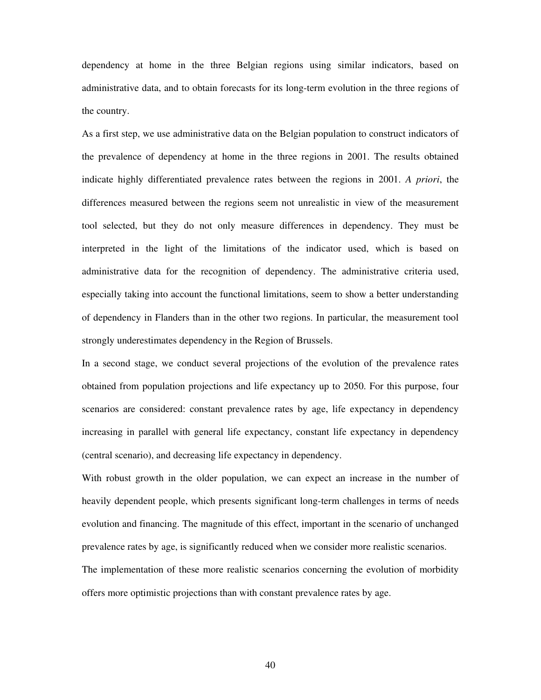dependency at home in the three Belgian regions using similar indicators, based on administrative data, and to obtain forecasts for its long-term evolution in the three regions of the country.

As a first step, we use administrative data on the Belgian population to construct indicators of the prevalence of dependency at home in the three regions in 2001. The results obtained indicate highly differentiated prevalence rates between the regions in 2001. *A priori*, the differences measured between the regions seem not unrealistic in view of the measurement tool selected, but they do not only measure differences in dependency. They must be interpreted in the light of the limitations of the indicator used, which is based on administrative data for the recognition of dependency. The administrative criteria used, especially taking into account the functional limitations, seem to show a better understanding of dependency in Flanders than in the other two regions. In particular, the measurement tool strongly underestimates dependency in the Region of Brussels.

In a second stage, we conduct several projections of the evolution of the prevalence rates obtained from population projections and life expectancy up to 2050. For this purpose, four scenarios are considered: constant prevalence rates by age, life expectancy in dependency increasing in parallel with general life expectancy, constant life expectancy in dependency (central scenario), and decreasing life expectancy in dependency.

With robust growth in the older population, we can expect an increase in the number of heavily dependent people, which presents significant long-term challenges in terms of needs evolution and financing. The magnitude of this effect, important in the scenario of unchanged prevalence rates by age, is significantly reduced when we consider more realistic scenarios. The implementation of these more realistic scenarios concerning the evolution of morbidity offers more optimistic projections than with constant prevalence rates by age.

40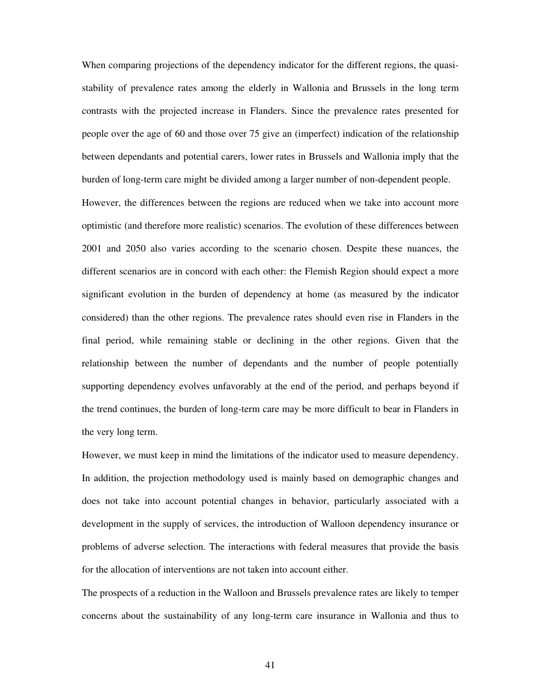When comparing projections of the dependency indicator for the different regions, the quasistability of prevalence rates among the elderly in Wallonia and Brussels in the long term contrasts with the projected increase in Flanders. Since the prevalence rates presented for people over the age of 60 and those over 75 give an (imperfect) indication of the relationship between dependants and potential carers, lower rates in Brussels and Wallonia imply that the burden of long-term care might be divided among a larger number of non-dependent people.

However, the differences between the regions are reduced when we take into account more optimistic (and therefore more realistic) scenarios. The evolution of these differences between 2001 and 2050 also varies according to the scenario chosen. Despite these nuances, the different scenarios are in concord with each other: the Flemish Region should expect a more significant evolution in the burden of dependency at home (as measured by the indicator considered) than the other regions. The prevalence rates should even rise in Flanders in the final period, while remaining stable or declining in the other regions. Given that the relationship between the number of dependants and the number of people potentially supporting dependency evolves unfavorably at the end of the period, and perhaps beyond if the trend continues, the burden of long-term care may be more difficult to bear in Flanders in the very long term.

However, we must keep in mind the limitations of the indicator used to measure dependency. In addition, the projection methodology used is mainly based on demographic changes and does not take into account potential changes in behavior, particularly associated with a development in the supply of services, the introduction of Walloon dependency insurance or problems of adverse selection. The interactions with federal measures that provide the basis for the allocation of interventions are not taken into account either.

The prospects of a reduction in the Walloon and Brussels prevalence rates are likely to temper concerns about the sustainability of any long-term care insurance in Wallonia and thus to

41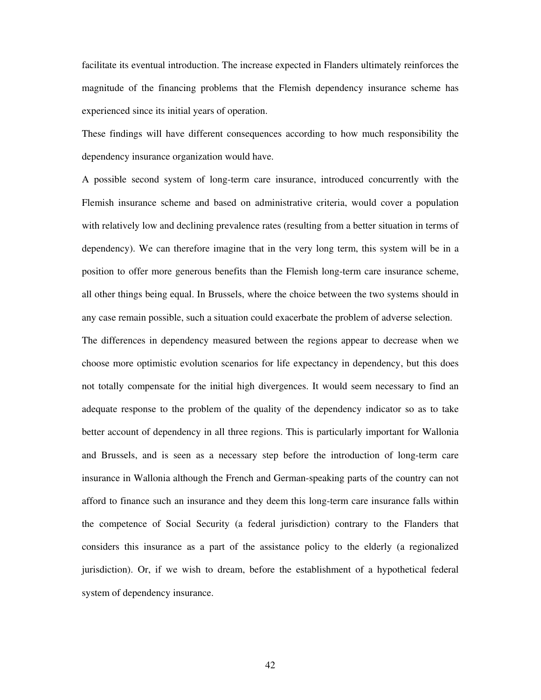facilitate its eventual introduction. The increase expected in Flanders ultimately reinforces the magnitude of the financing problems that the Flemish dependency insurance scheme has experienced since its initial years of operation.

These findings will have different consequences according to how much responsibility the dependency insurance organization would have.

A possible second system of long-term care insurance, introduced concurrently with the Flemish insurance scheme and based on administrative criteria, would cover a population with relatively low and declining prevalence rates (resulting from a better situation in terms of dependency). We can therefore imagine that in the very long term, this system will be in a position to offer more generous benefits than the Flemish long-term care insurance scheme, all other things being equal. In Brussels, where the choice between the two systems should in any case remain possible, such a situation could exacerbate the problem of adverse selection. The differences in dependency measured between the regions appear to decrease when we choose more optimistic evolution scenarios for life expectancy in dependency, but this does not totally compensate for the initial high divergences. It would seem necessary to find an adequate response to the problem of the quality of the dependency indicator so as to take better account of dependency in all three regions. This is particularly important for Wallonia and Brussels, and is seen as a necessary step before the introduction of long-term care insurance in Wallonia although the French and German-speaking parts of the country can not afford to finance such an insurance and they deem this long-term care insurance falls within the competence of Social Security (a federal jurisdiction) contrary to the Flanders that considers this insurance as a part of the assistance policy to the elderly (a regionalized jurisdiction). Or, if we wish to dream, before the establishment of a hypothetical federal system of dependency insurance.

42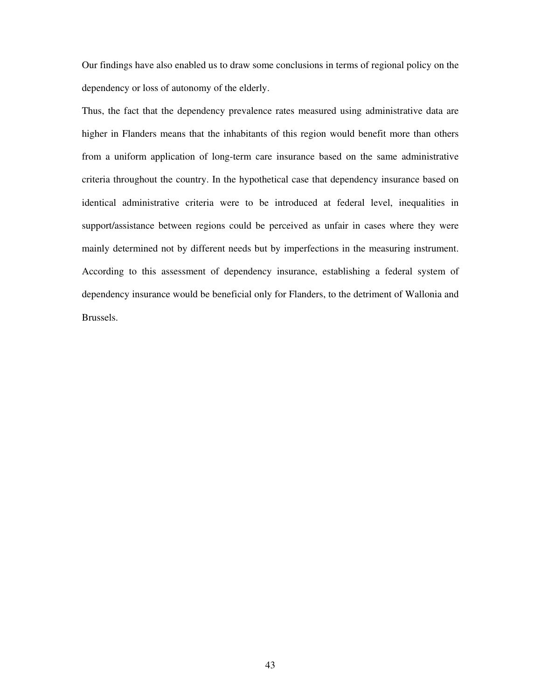Our findings have also enabled us to draw some conclusions in terms of regional policy on the dependency or loss of autonomy of the elderly.

Thus, the fact that the dependency prevalence rates measured using administrative data are higher in Flanders means that the inhabitants of this region would benefit more than others from a uniform application of long-term care insurance based on the same administrative criteria throughout the country. In the hypothetical case that dependency insurance based on identical administrative criteria were to be introduced at federal level, inequalities in support/assistance between regions could be perceived as unfair in cases where they were mainly determined not by different needs but by imperfections in the measuring instrument. According to this assessment of dependency insurance, establishing a federal system of dependency insurance would be beneficial only for Flanders, to the detriment of Wallonia and Brussels.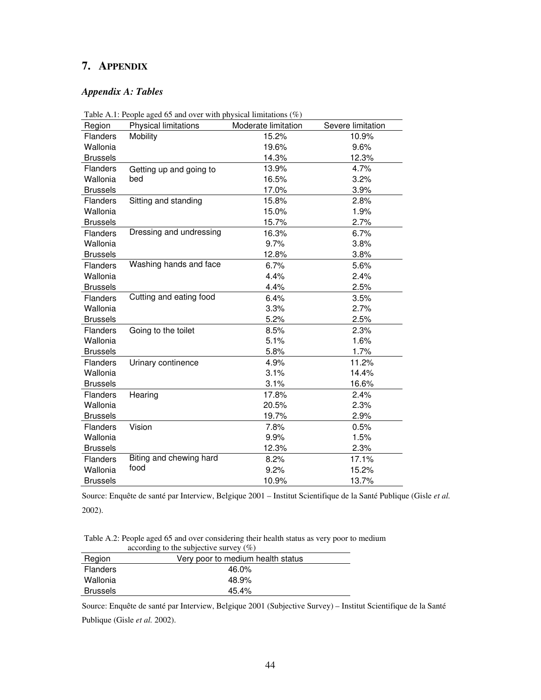## **7. APPENDIX**

#### *Appendix A: Tables*

| Region          | Table A.1: People aged 65 and over with physical limitations $(\%)$<br>Physical limitations | Moderate limitation | Severe limitation |
|-----------------|---------------------------------------------------------------------------------------------|---------------------|-------------------|
| <b>Flanders</b> | Mobility                                                                                    | 15.2%               | 10.9%             |
| Wallonia        |                                                                                             | 19.6%               | 9.6%              |
| <b>Brussels</b> |                                                                                             | 14.3%               | 12.3%             |
| Flanders        | Getting up and going to                                                                     | 13.9%               | 4.7%              |
| Wallonia        | bed                                                                                         | 16.5%               | 3.2%              |
| <b>Brussels</b> |                                                                                             | 17.0%               | 3.9%              |
| <b>Flanders</b> | Sitting and standing                                                                        | 15.8%               | 2.8%              |
| Wallonia        |                                                                                             | 15.0%               | 1.9%              |
| <b>Brussels</b> |                                                                                             | 15.7%               | 2.7%              |
| Flanders        | Dressing and undressing                                                                     | 16.3%               | 6.7%              |
| Wallonia        |                                                                                             | 9.7%                | 3.8%              |
| <b>Brussels</b> |                                                                                             | 12.8%               | 3.8%              |
| <b>Flanders</b> | Washing hands and face                                                                      | 6.7%                | 5.6%              |
| Wallonia        |                                                                                             | 4.4%                | 2.4%              |
| <b>Brussels</b> |                                                                                             | 4.4%                | 2.5%              |
| <b>Flanders</b> | Cutting and eating food                                                                     | 6.4%                | 3.5%              |
| Wallonia        |                                                                                             | 3.3%                | 2.7%              |
| <b>Brussels</b> |                                                                                             | 5.2%                | 2.5%              |
| <b>Flanders</b> | Going to the toilet                                                                         | 8.5%                | 2.3%              |
| Wallonia        |                                                                                             | 5.1%                | 1.6%              |
| <b>Brussels</b> |                                                                                             | 5.8%                | 1.7%              |
| Flanders        | Urinary continence                                                                          | 4.9%                | 11.2%             |
| Wallonia        |                                                                                             | 3.1%                | 14.4%             |
| <b>Brussels</b> |                                                                                             | 3.1%                | 16.6%             |
| <b>Flanders</b> | Hearing                                                                                     | 17.8%               | 2.4%              |
| Wallonia        |                                                                                             | 20.5%               | 2.3%              |
| <b>Brussels</b> |                                                                                             | 19.7%               | 2.9%              |
| Flanders        | Vision                                                                                      | 7.8%                | 0.5%              |
| Wallonia        |                                                                                             | 9.9%                | 1.5%              |
| <b>Brussels</b> |                                                                                             | 12.3%               | 2.3%              |
| Flanders        | Biting and chewing hard                                                                     | 8.2%                | 17.1%             |
| Wallonia        | food                                                                                        | 9.2%                | 15.2%             |
| <b>Brussels</b> |                                                                                             | 10.9%               | 13.7%             |

Table A.1: People aged 65 and over with physical limitations (%)

Source: Enquête de santé par Interview, Belgique 2001 – Institut Scientifique de la Santé Publique (Gisle *et al.* 2002).

Table A.2: People aged 65 and over considering their health status as very poor to medium according to the subjective survey  $(\%)$ 

|                 | $\alpha$ according to the subjective survey (70) |
|-----------------|--------------------------------------------------|
| Region          | Very poor to medium health status                |
| <b>Flanders</b> | 46.0%                                            |
| Wallonia        | 48.9%                                            |
| <b>Brussels</b> | 45.4%                                            |

Source: Enquête de santé par Interview, Belgique 2001 (Subjective Survey) – Institut Scientifique de la Santé

Publique (Gisle *et al.* 2002).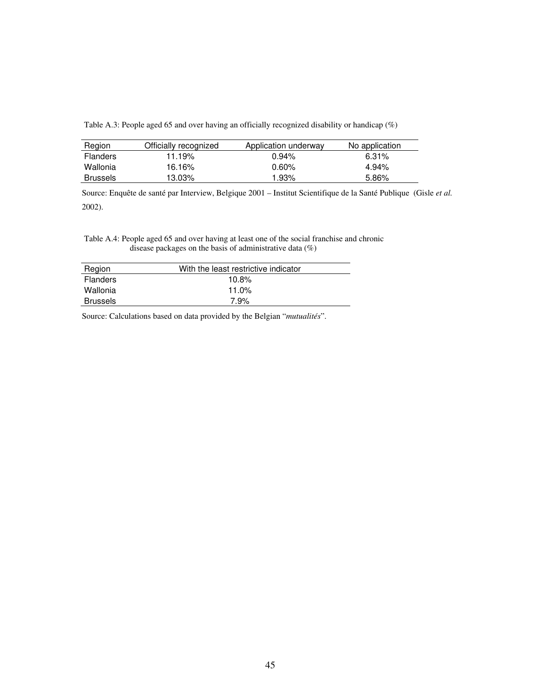Table A.3: People aged 65 and over having an officially recognized disability or handicap (%)

| Region          | Officially recognized | Application underway | No application |
|-----------------|-----------------------|----------------------|----------------|
| <b>Flanders</b> | 11.19%                | 0.94%                | $6.31\%$       |
| Wallonia        | 16.16%                | $0.60\%$             | 4.94%          |
| <b>Brussels</b> | 13.03%                | 1.93%                | 5.86%          |

Source: Enquête de santé par Interview, Belgique 2001 – Institut Scientifique de la Santé Publique (Gisle *et al.* 2002).

#### Table A.4: People aged 65 and over having at least one of the social franchise and chronic disease packages on the basis of administrative data (%)

| Region          | With the least restrictive indicator |
|-----------------|--------------------------------------|
| <b>Flanders</b> | 10.8%                                |
| Wallonia        | 11.0%                                |
| <b>Brussels</b> | 7.9%                                 |

Source: Calculations based on data provided by the Belgian "*mutualités*".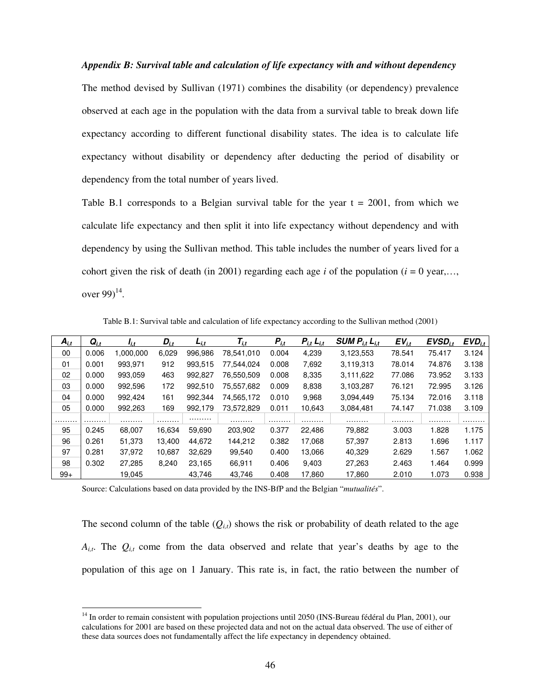#### *Appendix B: Survival table and calculation of life expectancy with and without dependency*

The method devised by Sullivan (1971) combines the disability (or dependency) prevalence observed at each age in the population with the data from a survival table to break down life expectancy according to different functional disability states. The idea is to calculate life expectancy without disability or dependency after deducting the period of disability or dependency from the total number of years lived.

Table B.1 corresponds to a Belgian survival table for the year  $t = 2001$ , from which we calculate life expectancy and then split it into life expectancy without dependency and with dependency by using the Sullivan method. This table includes the number of years lived for a cohort given the risk of death (in 2001) regarding each age *i* of the population ( $i = 0$  year,... over 99 $)^{14}$ .

| $A_{i,t}$ | $Q_{i.t}$ | li.t      | $D_{i,t}$ | $L_{i,t}$ | $\mathcal{T}_{i,t}$ | $P_{i,t}$ | $P_{i,t}$ $L_{i,t}$ | <b>SUM <math>P_{i,t}</math> <math>L_{i,t}</math></b> | $EV_{i,t}$ | $EVSD_{i,t}$ | $EVD_{i.t.}$ |
|-----------|-----------|-----------|-----------|-----------|---------------------|-----------|---------------------|------------------------------------------------------|------------|--------------|--------------|
| 00        | 0.006     | 1.000.000 | 6.029     | 996.986   | 78.541.010          | 0.004     | 4.239               | 3.123.553                                            | 78.541     | 75.417       | 3.124        |
| 01        | 0.001     | 993.971   | 912       | 993,515   | 77.544.024          | 0.008     | 7,692               | 3.119.313                                            | 78.014     | 74.876       | 3.138        |
| 02        | 0.000     | 993,059   | 463       | 992.827   | 76,550,509          | 0.008     | 8.335               | 3.111.622                                            | 77.086     | 73.952       | 3.133        |
| 03        | 0.000     | 992.596   | 172       | 992.510   | 75.557.682          | 0.009     | 8,838               | 3.103.287                                            | 76.121     | 72.995       | 3.126        |
| 04        | 0.000     | 992.424   | 161       | 992.344   | 74,565,172          | 0.010     | 9.968               | 3.094.449                                            | 75.134     | 72.016       | 3.118        |
| 05        | 0.000     | 992.263   | 169       | 992.179   | 73.572.829          | 0.011     | 10.643              | 3.084.481                                            | 74.147     | 71.038       | 3.109        |
| .         | .         | .         | .         | .         | .                   | .         | .                   | .                                                    | .          | .            | .            |
| 95        | 0.245     | 68,007    | 16.634    | 59.690    | 203,902             | 0.377     | 22.486              | 79,882                                               | 3.003      | 1.828        | 1.175        |
| 96        | 0.261     | 51.373    | 13.400    | 44.672    | 144.212             | 0.382     | 17.068              | 57,397                                               | 2.813      | 1.696        | 1.117        |
| 97        | 0.281     | 37.972    | 10.687    | 32,629    | 99.540              | 0.400     | 13.066              | 40.329                                               | 2.629      | 1.567        | 1.062        |
| 98        | 0.302     | 27.285    | 8.240     | 23.165    | 66.911              | 0.406     | 9.403               | 27.263                                               | 2.463      | 1.464        | 0.999        |
| $99+$     |           | 19.045    |           | 43.746    | 43.746              | 0.408     | 17.860              | 17.860                                               | 2.010      | 1.073        | 0.938        |

Table B.1: Survival table and calculation of life expectancy according to the Sullivan method (2001)

Source: Calculations based on data provided by the INS-BfP and the Belgian "*mutualités*".

 $\ddot{\phantom{a}}$ 

The second column of the table  $(Q_{i,t})$  shows the risk or probability of death related to the age  $A_{i,t}$ . The  $Q_{i,t}$  come from the data observed and relate that year's deaths by age to the population of this age on 1 January. This rate is, in fact, the ratio between the number of

<sup>&</sup>lt;sup>14</sup> In order to remain consistent with population projections until 2050 (INS-Bureau fédéral du Plan, 2001), our calculations for 2001 are based on these projected data and not on the actual data observed. The use of either of these data sources does not fundamentally affect the life expectancy in dependency obtained.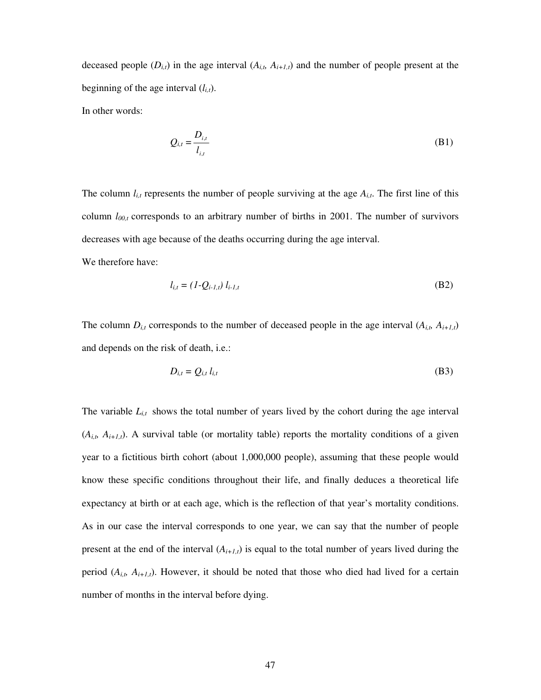deceased people  $(D_{i,t})$  in the age interval  $(A_{i,t}, A_{i+1,t})$  and the number of people present at the beginning of the age interval  $(l_{i,t})$ .

In other words:

$$
Q_{i,t} = \frac{D_{i,t}}{l_{i,t}} \tag{B1}
$$

The column  $l_{i,t}$  represents the number of people surviving at the age  $A_{i,t}$ . The first line of this column *l00,t* corresponds to an arbitrary number of births in 2001. The number of survivors decreases with age because of the deaths occurring during the age interval. We therefore have:

$$
l_{i,t} = (1 - Q_{i-1,t}) l_{i-1,t}
$$
 (B2)

The column  $D_{i,t}$  corresponds to the number of deceased people in the age interval  $(A_{i,t}, A_{i+1,t})$ and depends on the risk of death, i.e.:

$$
D_{i,t} = Q_{i,t} l_{i,t} \tag{B3}
$$

The variable  $L_{i,t}$  shows the total number of years lived by the cohort during the age interval  $(A_{i,t}, A_{i+1,t})$ . A survival table (or mortality table) reports the mortality conditions of a given year to a fictitious birth cohort (about 1,000,000 people), assuming that these people would know these specific conditions throughout their life, and finally deduces a theoretical life expectancy at birth or at each age, which is the reflection of that year's mortality conditions. As in our case the interval corresponds to one year, we can say that the number of people present at the end of the interval  $(A_{i+1,t})$  is equal to the total number of years lived during the period  $(A_{i,t}, A_{i+1,t})$ . However, it should be noted that those who died had lived for a certain number of months in the interval before dying.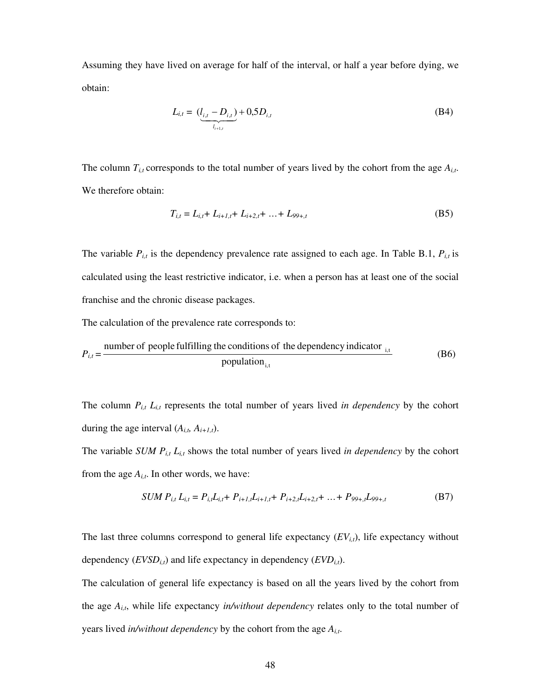Assuming they have lived on average for half of the interval, or half a year before dying, we obtain:

$$
L_{i,t} = \underbrace{(l_{i,t} - D_{i,t})}_{l_{i+1,t}} + 0,5D_{i,t}
$$
 (B4)

The column  $T_{i,t}$  corresponds to the total number of years lived by the cohort from the age  $A_{i,t}$ . We therefore obtain:

$$
T_{i,t} = L_{i,t} + L_{i+1,t} + L_{i+2,t} + \ldots + L_{99+,t}
$$
\n(B5)

The variable  $P_{i,t}$  is the dependency prevalence rate assigned to each age. In Table B.1,  $P_{i,t}$  is calculated using the least restrictive indicator, i.e. when a person has at least one of the social franchise and the chronic disease packages.

The calculation of the prevalence rate corresponds to:

$$
P_{i,t} = \frac{\text{number of people fulfilling the conditions of the dependency indicator}_{i,t}}{\text{population}_{i,t}}
$$
 (B6)

The column  $P_{i,t}$   $L_{i,t}$  represents the total number of years lived *in dependency* by the cohort during the age interval  $(A_{i,t}, A_{i+1,t})$ .

The variable *SUM Pi,t Li,t* shows the total number of years lived *in dependency* by the cohort from the age  $A_{i,t}$ . In other words, we have:

$$
SUM\ P_{i,t}\ L_{i,t} = P_{i,t}L_{i,t} + P_{i+1,t}L_{i+1,t} + P_{i+2,t}L_{i+2,t} + \dots + P_{99+,t}L_{99+,t}
$$
(B7)

The last three columns correspond to general life expectancy  $(EV_{i,t})$ , life expectancy without dependency  $(EVSD<sub>i,t</sub>)$  and life expectancy in dependency  $(EVD<sub>i,t</sub>)$ .

The calculation of general life expectancy is based on all the years lived by the cohort from the age  $A_{i,t}$ , while life expectancy *in/without dependency* relates only to the total number of years lived *in/without dependency* by the cohort from the age *Ai,t*.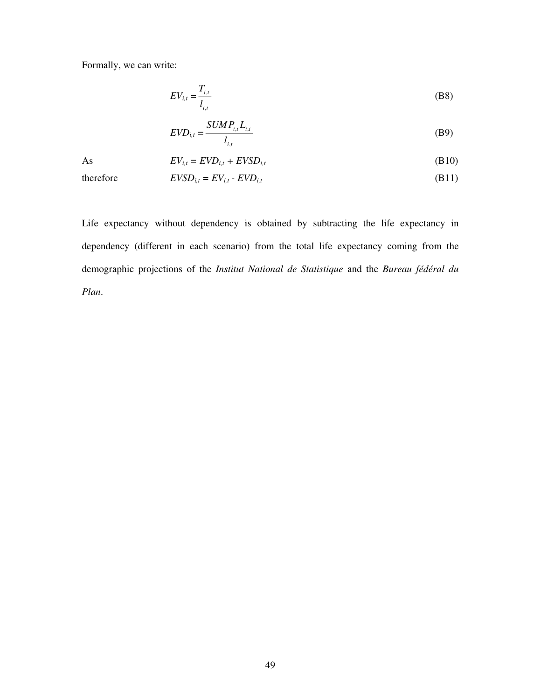Formally, we can write:

$$
EV_{i,t} = \frac{T_{i,t}}{I_{i,t}} \tag{B8}
$$

$$
EVD_{i,t} = \frac{SUMP_{i,t}L_{i,t}}{l_{i,t}}
$$
\n(B9)

As 
$$
EV_{i,t} = EVD_{i,t} + EVSD_{i,t}
$$
 (B10)

therefore  $EVSD_{i,t} = EV_{i,t} - EVD_{i,t}$  (B11)

Life expectancy without dependency is obtained by subtracting the life expectancy in dependency (different in each scenario) from the total life expectancy coming from the demographic projections of the *Institut National de Statistique* and the *Bureau fédéral du Plan*.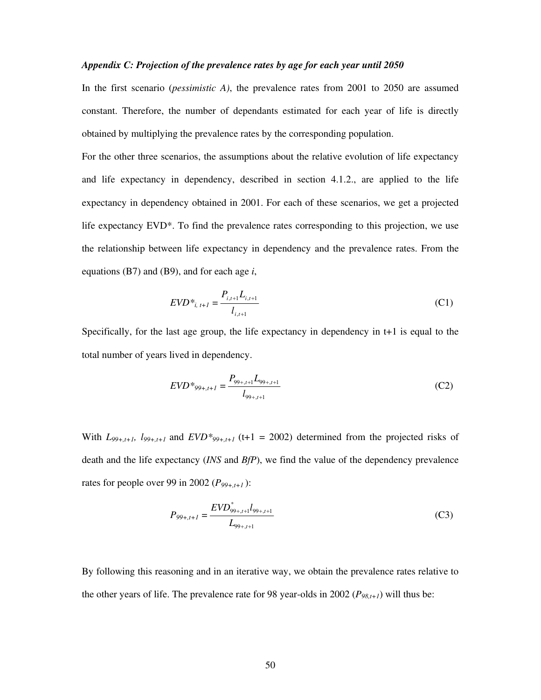#### *Appendix C: Projection of the prevalence rates by age for each year until 2050*

In the first scenario (*pessimistic A)*, the prevalence rates from 2001 to 2050 are assumed constant. Therefore, the number of dependants estimated for each year of life is directly obtained by multiplying the prevalence rates by the corresponding population.

For the other three scenarios, the assumptions about the relative evolution of life expectancy and life expectancy in dependency, described in section 4.1.2., are applied to the life expectancy in dependency obtained in 2001. For each of these scenarios, we get a projected life expectancy EVD\*. To find the prevalence rates corresponding to this projection, we use the relationship between life expectancy in dependency and the prevalence rates. From the equations (B7) and (B9), and for each age *i*,

$$
EVD^*_{i, t+1} = \frac{P_{i, t+1} L_{i, t+1}}{l_{i, t+1}}
$$
(C1)

Specifically, for the last age group, the life expectancy in dependency in t+1 is equal to the total number of years lived in dependency.

$$
EVD^{*_{99+,t+1}} = \frac{P_{99+,t+1}L_{99+,t+1}}{l_{99+,t+1}}
$$
(C2)

With  $L_{99+, t+1}$ ,  $l_{99+, t+1}$  and  $EVD_{99+, t+1}$  (t+1 = 2002) determined from the projected risks of death and the life expectancy (*INS* and *BfP*), we find the value of the dependency prevalence rates for people over 99 in 2002 (*P99+,t+1* ):

$$
P_{99+,t+1} = \frac{EVD_{99+,t+1}^* l_{99+,t+1}}{L_{99+,t+1}}
$$
(C3)

By following this reasoning and in an iterative way, we obtain the prevalence rates relative to the other years of life. The prevalence rate for 98 year-olds in 2002 ( $P_{98,t+1}$ ) will thus be: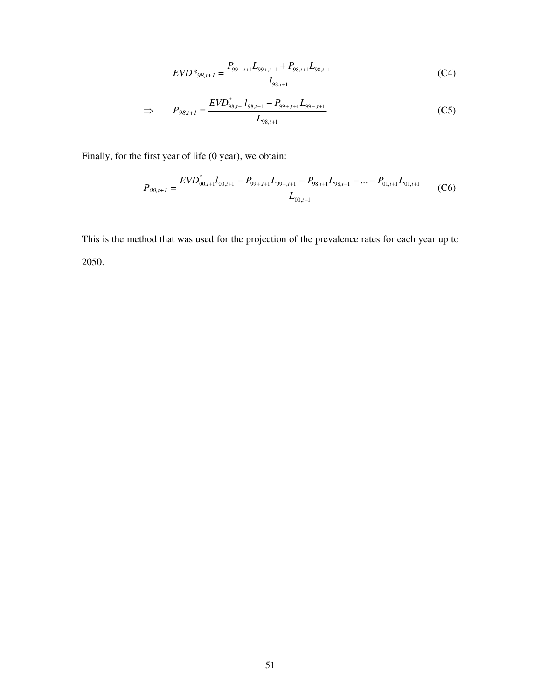$$
EVD*_{98,t+1} = \frac{P_{99+,t+1}L_{99+,t+1} + P_{98,t+1}L_{98,t+1}}{l_{98,t+1}}
$$
(C4)

$$
\Rightarrow \qquad P_{98,t+1} = \frac{EVD_{98,t+1}^* l_{98,t+1} - P_{99+,t+1} L_{99+,t+1}}{L_{98,t+1}}
$$
(C5)

Finally, for the first year of life (0 year), we obtain:

$$
P_{00,t+1} = \frac{EVD_{00,t+1}^* l_{00,t+1} - P_{99+,t+1}L_{99+,t+1} - P_{98,t+1}L_{98,t+1} - \dots - P_{01,t+1}L_{01,t+1}}{L_{00,t+1}}
$$
(C6)

This is the method that was used for the projection of the prevalence rates for each year up to 2050.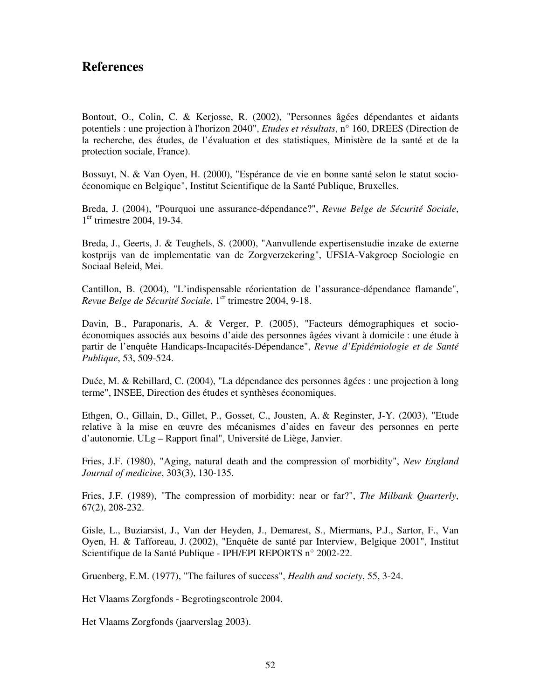## **References**

Bontout, O., Colin, C. & Kerjosse, R. (2002), "Personnes âgées dépendantes et aidants potentiels : une projection à l'horizon 2040", *Etudes et résultats*, n° 160, DREES (Direction de la recherche, des études, de l'évaluation et des statistiques, Ministère de la santé et de la protection sociale, France).

Bossuyt, N. & Van Oyen, H. (2000), "Espérance de vie en bonne santé selon le statut socioéconomique en Belgique", Institut Scientifique de la Santé Publique, Bruxelles.

Breda, J. (2004), "Pourquoi une assurance-dépendance?", *Revue Belge de Sécurité Sociale*, 1<sup>er</sup> trimestre 2004, 19-34.

Breda, J., Geerts, J. & Teughels, S. (2000), "Aanvullende expertisenstudie inzake de externe kostprijs van de implementatie van de Zorgverzekering", UFSIA-Vakgroep Sociologie en Sociaal Beleid, Mei.

Cantillon, B. (2004), "L'indispensable réorientation de l'assurance-dépendance flamande", *Revue Belge de Sécurité Sociale*, 1<sup>er</sup> trimestre 2004, 9-18.

Davin, B., Paraponaris, A. & Verger, P. (2005), "Facteurs démographiques et socioéconomiques associés aux besoins d'aide des personnes âgées vivant à domicile : une étude à partir de l'enquête Handicaps-Incapacités-Dépendance", *Revue d'Epidémiologie et de Santé Publique*, 53, 509-524.

Duée, M. & Rebillard, C. (2004), "La dépendance des personnes âgées : une projection à long terme", INSEE, Direction des études et synthèses économiques.

Ethgen, O., Gillain, D., Gillet, P., Gosset, C., Jousten, A. & Reginster, J-Y. (2003), "Etude relative à la mise en œuvre des mécanismes d'aides en faveur des personnes en perte d'autonomie. ULg – Rapport final", Université de Liège, Janvier.

Fries, J.F. (1980), "Aging, natural death and the compression of morbidity", *New England Journal of medicine*, 303(3), 130-135.

Fries, J.F. (1989), "The compression of morbidity: near or far?", *The Milbank Quarterly*, 67(2), 208-232.

Gisle, L., Buziarsist, J., Van der Heyden, J., Demarest, S., Miermans, P.J., Sartor, F., Van Oyen, H. & Tafforeau, J. (2002), "Enquête de santé par Interview, Belgique 2001", Institut Scientifique de la Santé Publique - IPH/EPI REPORTS n° 2002-22.

Gruenberg, E.M. (1977), "The failures of success", *Health and society*, 55, 3-24.

Het Vlaams Zorgfonds - Begrotingscontrole 2004.

Het Vlaams Zorgfonds (jaarverslag 2003).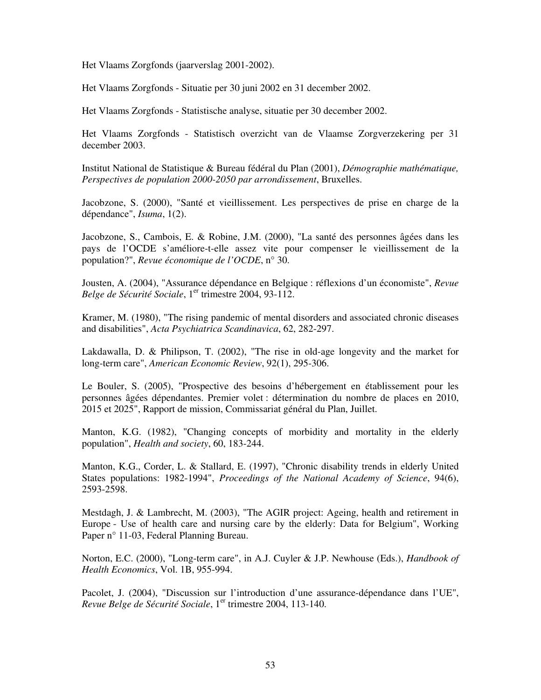Het Vlaams Zorgfonds (jaarverslag 2001-2002).

Het Vlaams Zorgfonds - Situatie per 30 juni 2002 en 31 december 2002.

Het Vlaams Zorgfonds - Statistische analyse, situatie per 30 december 2002.

Het Vlaams Zorgfonds - Statistisch overzicht van de Vlaamse Zorgverzekering per 31 december 2003.

Institut National de Statistique & Bureau fédéral du Plan (2001), *Démographie mathématique, Perspectives de population 2000-2050 par arrondissement*, Bruxelles.

Jacobzone, S. (2000), "Santé et vieillissement. Les perspectives de prise en charge de la dépendance", *Isuma*, 1(2).

Jacobzone, S., Cambois, E. & Robine, J.M. (2000), "La santé des personnes âgées dans les pays de l'OCDE s'améliore-t-elle assez vite pour compenser le vieillissement de la population?", *Revue économique de l'OCDE*, n° 30.

Jousten, A. (2004), "Assurance dépendance en Belgique : réflexions d'un économiste", *Revue Belge de Sécurité Sociale*, 1<sup>er</sup> trimestre 2004, 93-112.

Kramer, M. (1980), "The rising pandemic of mental disorders and associated chronic diseases and disabilities", *Acta Psychiatrica Scandinavica*, 62, 282-297.

Lakdawalla, D. & Philipson, T. (2002), "The rise in old-age longevity and the market for long-term care", *American Economic Review*, 92(1), 295-306.

Le Bouler, S. (2005), "Prospective des besoins d'hébergement en établissement pour les personnes âgées dépendantes. Premier volet : détermination du nombre de places en 2010, 2015 et 2025", Rapport de mission, Commissariat général du Plan, Juillet.

Manton, K.G. (1982), "Changing concepts of morbidity and mortality in the elderly population", *Health and society*, 60, 183-244.

Manton, K.G., Corder, L. & Stallard, E. (1997), "Chronic disability trends in elderly United States populations: 1982-1994", *Proceedings of the National Academy of Science*, 94(6), 2593-2598.

Mestdagh, J. & Lambrecht, M. (2003), "The AGIR project: Ageing, health and retirement in Europe - Use of health care and nursing care by the elderly: Data for Belgium", Working Paper n° 11-03, Federal Planning Bureau.

Norton, E.C. (2000), "Long-term care", in A.J. Cuyler & J.P. Newhouse (Eds.), *Handbook of Health Economics*, Vol. 1B, 955-994.

Pacolet, J. (2004), "Discussion sur l'introduction d'une assurance-dépendance dans l'UE", *Revue Belge de Sécurité Sociale*, 1<sup>er</sup> trimestre 2004, 113-140.